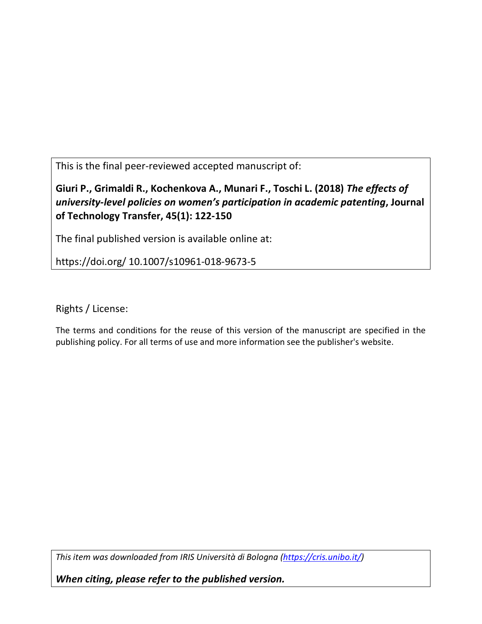This is the final peer-reviewed accepted manuscript of:

# **Giuri P., Grimaldi R., Kochenkova A., Munari F., Toschi L. (2018)** *The effects of university-level policies on women's participation in academic patenting***, Journal of Technology Transfer, 45(1): 122-150**

The final published version is available online at:

https://doi.org/ 10.1007/s10961-018-9673-5

Rights / License:

The terms and conditions for the reuse of this version of the manuscript are specified in the publishing policy. For all terms of use and more information see the publisher's website.

*This item was downloaded from IRIS Università di Bologna (https://cris.unibo.it/)*

*When citing, please refer to the published version.*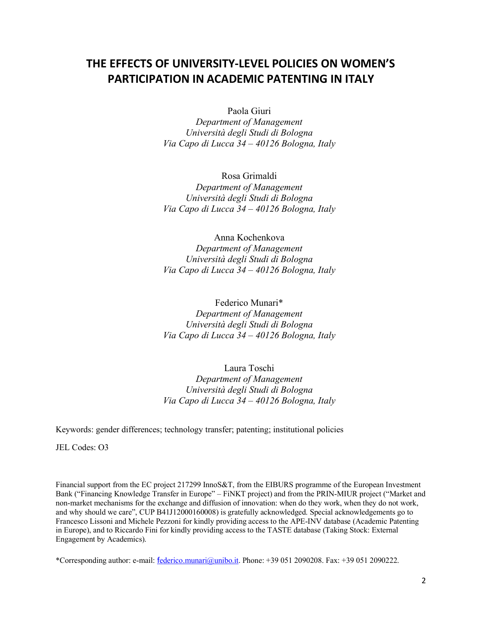# **THE EFFECTS OF UNIVERSITY-LEVEL POLICIES ON WOMEN'S PARTICIPATION IN ACADEMIC PATENTING IN ITALY**

Paola Giuri

*Department of Management Università degli Studi di Bologna Via Capo di Lucca 34 – 40126 Bologna, Italy*

Rosa Grimaldi *Department of Management Università degli Studi di Bologna Via Capo di Lucca 34 – 40126 Bologna, Italy*

Anna Kochenkova *Department of Management Università degli Studi di Bologna Via Capo di Lucca 34 – 40126 Bologna, Italy*

Federico Munari\* *Department of Management Università degli Studi di Bologna Via Capo di Lucca 34 – 40126 Bologna, Italy*

Laura Toschi

*Department of Management Università degli Studi di Bologna Via Capo di Lucca 34 – 40126 Bologna, Italy*

Keywords: gender differences; technology transfer; patenting; institutional policies

JEL Codes: O3

Financial support from the EC project 217299 InnoS&T, from the EIBURS programme of the European Investment Bank ("Financing Knowledge Transfer in Europe" – FiNKT project) and from the PRIN-MIUR project ("Market and non-market mechanisms for the exchange and diffusion of innovation: when do they work, when they do not work, and why should we care", CUP B41J12000160008) is gratefully acknowledged. Special acknowledgements go to Francesco Lissoni and Michele Pezzoni for kindly providing access to the APE-INV database (Academic Patenting in Europe), and to Riccardo Fini for kindly providing access to the TASTE database (Taking Stock: External Engagement by Academics).

\*Corresponding author: e-mail: federico.munari@unibo.it. Phone: +39 051 2090208. Fax: +39 051 2090222.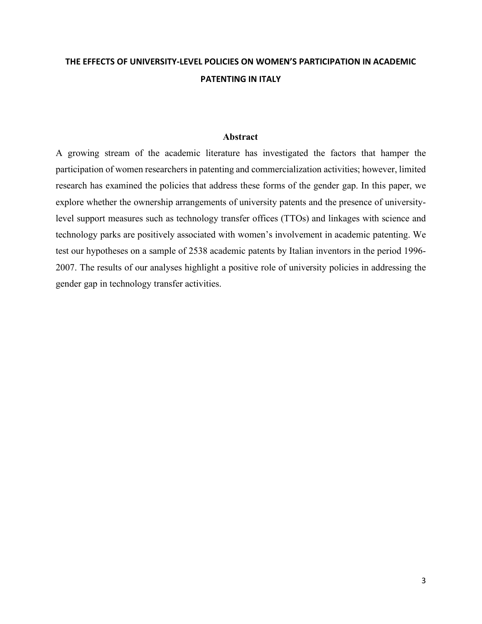# **THE EFFECTS OF UNIVERSITY-LEVEL POLICIES ON WOMEN'S PARTICIPATION IN ACADEMIC PATENTING IN ITALY**

#### **Abstract**

A growing stream of the academic literature has investigated the factors that hamper the participation of women researchers in patenting and commercialization activities; however, limited research has examined the policies that address these forms of the gender gap. In this paper, we explore whether the ownership arrangements of university patents and the presence of universitylevel support measures such as technology transfer offices (TTOs) and linkages with science and technology parks are positively associated with women's involvement in academic patenting. We test our hypotheses on a sample of 2538 academic patents by Italian inventors in the period 1996- 2007. The results of our analyses highlight a positive role of university policies in addressing the gender gap in technology transfer activities.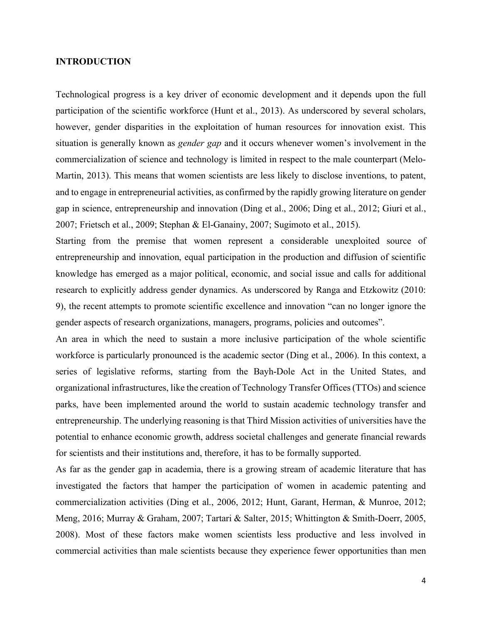# **INTRODUCTION**

Technological progress is a key driver of economic development and it depends upon the full participation of the scientific workforce (Hunt et al., 2013). As underscored by several scholars, however, gender disparities in the exploitation of human resources for innovation exist. This situation is generally known as *gender gap* and it occurs whenever women's involvement in the commercialization of science and technology is limited in respect to the male counterpart (Melo-Martin, 2013). This means that women scientists are less likely to disclose inventions, to patent, and to engage in entrepreneurial activities, as confirmed by the rapidly growing literature on gender gap in science, entrepreneurship and innovation (Ding et al., 2006; Ding et al., 2012; Giuri et al., 2007; Frietsch et al., 2009; Stephan & El-Ganainy, 2007; Sugimoto et al., 2015).

Starting from the premise that women represent a considerable unexploited source of entrepreneurship and innovation, equal participation in the production and diffusion of scientific knowledge has emerged as a major political, economic, and social issue and calls for additional research to explicitly address gender dynamics. As underscored by Ranga and Etzkowitz (2010: 9), the recent attempts to promote scientific excellence and innovation "can no longer ignore the gender aspects of research organizations, managers, programs, policies and outcomes".

An area in which the need to sustain a more inclusive participation of the whole scientific workforce is particularly pronounced is the academic sector (Ding et al., 2006). In this context, a series of legislative reforms, starting from the Bayh-Dole Act in the United States, and organizational infrastructures, like the creation of Technology Transfer Offices (TTOs) and science parks, have been implemented around the world to sustain academic technology transfer and entrepreneurship. The underlying reasoning is that Third Mission activities of universities have the potential to enhance economic growth, address societal challenges and generate financial rewards for scientists and their institutions and, therefore, it has to be formally supported.

As far as the gender gap in academia, there is a growing stream of academic literature that has investigated the factors that hamper the participation of women in academic patenting and commercialization activities (Ding et al., 2006, 2012; Hunt, Garant, Herman, & Munroe, 2012; Meng, 2016; Murray & Graham, 2007; Tartari & Salter, 2015; Whittington & Smith-Doerr, 2005, 2008). Most of these factors make women scientists less productive and less involved in commercial activities than male scientists because they experience fewer opportunities than men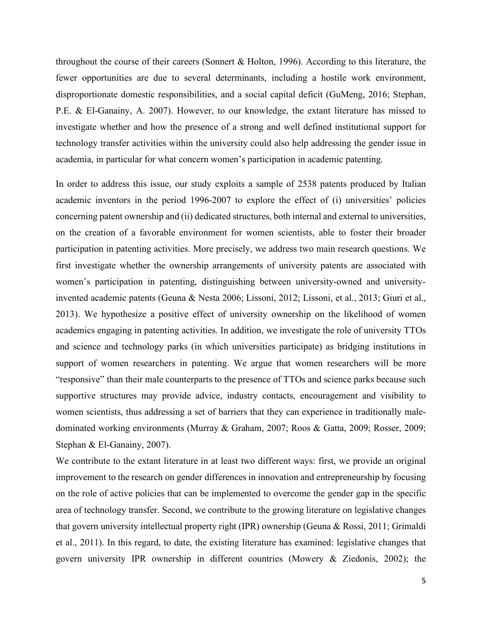throughout the course of their careers (Sonnert & Holton, 1996). According to this literature, the fewer opportunities are due to several determinants, including a hostile work environment, disproportionate domestic responsibilities, and a social capital deficit (GuMeng, 2016; Stephan, P.E. & El-Ganainy, A. 2007). However, to our knowledge, the extant literature has missed to investigate whether and how the presence of a strong and well defined institutional support for technology transfer activities within the university could also help addressing the gender issue in academia, in particular for what concern women's participation in academic patenting.

In order to address this issue, our study exploits a sample of 2538 patents produced by Italian academic inventors in the period 1996-2007 to explore the effect of (i) universities' policies concerning patent ownership and (ii) dedicated structures, both internal and external to universities, on the creation of a favorable environment for women scientists, able to foster their broader participation in patenting activities. More precisely, we address two main research questions. We first investigate whether the ownership arrangements of university patents are associated with women's participation in patenting, distinguishing between university-owned and universityinvented academic patents (Geuna & Nesta 2006; Lissoni, 2012; Lissoni, et al., 2013; Giuri et al., 2013). We hypothesize a positive effect of university ownership on the likelihood of women academics engaging in patenting activities. In addition, we investigate the role of university TTOs and science and technology parks (in which universities participate) as bridging institutions in support of women researchers in patenting. We argue that women researchers will be more "responsive" than their male counterparts to the presence of TTOs and science parks because such supportive structures may provide advice, industry contacts, encouragement and visibility to women scientists, thus addressing a set of barriers that they can experience in traditionally maledominated working environments (Murray & Graham, 2007; Roos & Gatta, 2009; Rosser, 2009; Stephan & El-Ganainy, 2007).

We contribute to the extant literature in at least two different ways: first, we provide an original improvement to the research on gender differences in innovation and entrepreneurship by focusing on the role of active policies that can be implemented to overcome the gender gap in the specific area of technology transfer. Second, we contribute to the growing literature on legislative changes that govern university intellectual property right (IPR) ownership (Geuna & Rossi, 2011; Grimaldi et al., 2011). In this regard, to date, the existing literature has examined: legislative changes that govern university IPR ownership in different countries (Mowery & Ziedonis, 2002); the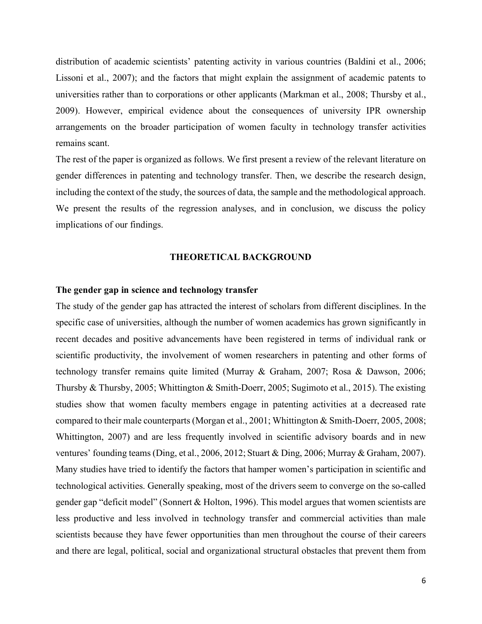distribution of academic scientists' patenting activity in various countries (Baldini et al., 2006; Lissoni et al., 2007); and the factors that might explain the assignment of academic patents to universities rather than to corporations or other applicants (Markman et al., 2008; Thursby et al., 2009). However, empirical evidence about the consequences of university IPR ownership arrangements on the broader participation of women faculty in technology transfer activities remains scant.

The rest of the paper is organized as follows. We first present a review of the relevant literature on gender differences in patenting and technology transfer. Then, we describe the research design, including the context of the study, the sources of data, the sample and the methodological approach. We present the results of the regression analyses, and in conclusion, we discuss the policy implications of our findings.

# **THEORETICAL BACKGROUND**

## **The gender gap in science and technology transfer**

The study of the gender gap has attracted the interest of scholars from different disciplines. In the specific case of universities, although the number of women academics has grown significantly in recent decades and positive advancements have been registered in terms of individual rank or scientific productivity, the involvement of women researchers in patenting and other forms of technology transfer remains quite limited (Murray & Graham, 2007; Rosa & Dawson, 2006; Thursby & Thursby, 2005; Whittington & Smith-Doerr, 2005; Sugimoto et al., 2015). The existing studies show that women faculty members engage in patenting activities at a decreased rate compared to their male counterparts (Morgan et al., 2001; Whittington & Smith-Doerr, 2005, 2008; Whittington, 2007) and are less frequently involved in scientific advisory boards and in new ventures' founding teams (Ding, et al., 2006, 2012; Stuart & Ding, 2006; Murray & Graham, 2007). Many studies have tried to identify the factors that hamper women's participation in scientific and technological activities. Generally speaking, most of the drivers seem to converge on the so-called gender gap "deficit model" (Sonnert & Holton, 1996). This model argues that women scientists are less productive and less involved in technology transfer and commercial activities than male scientists because they have fewer opportunities than men throughout the course of their careers and there are legal, political, social and organizational structural obstacles that prevent them from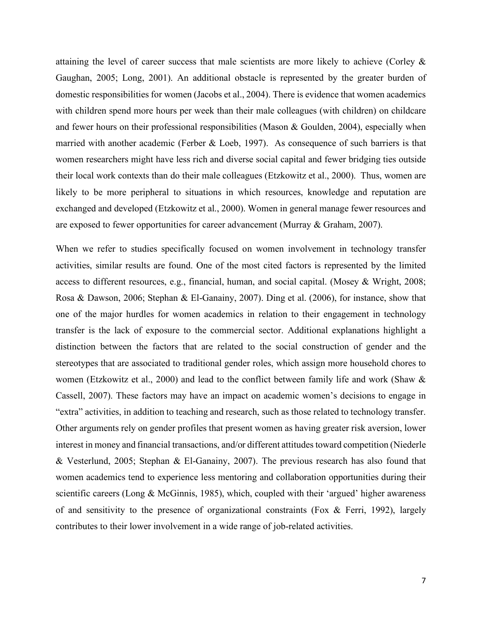attaining the level of career success that male scientists are more likely to achieve (Corley  $\&$ Gaughan, 2005; Long, 2001). An additional obstacle is represented by the greater burden of domestic responsibilities for women (Jacobs et al., 2004). There is evidence that women academics with children spend more hours per week than their male colleagues (with children) on childcare and fewer hours on their professional responsibilities (Mason & Goulden, 2004), especially when married with another academic (Ferber & Loeb, 1997). As consequence of such barriers is that women researchers might have less rich and diverse social capital and fewer bridging ties outside their local work contexts than do their male colleagues (Etzkowitz et al., 2000). Thus, women are likely to be more peripheral to situations in which resources, knowledge and reputation are exchanged and developed (Etzkowitz et al., 2000). Women in general manage fewer resources and are exposed to fewer opportunities for career advancement (Murray & Graham, 2007).

When we refer to studies specifically focused on women involvement in technology transfer activities, similar results are found. One of the most cited factors is represented by the limited access to different resources, e.g., financial, human, and social capital. (Mosey & Wright, 2008; Rosa & Dawson, 2006; Stephan & El-Ganainy, 2007). Ding et al. (2006), for instance, show that one of the major hurdles for women academics in relation to their engagement in technology transfer is the lack of exposure to the commercial sector. Additional explanations highlight a distinction between the factors that are related to the social construction of gender and the stereotypes that are associated to traditional gender roles, which assign more household chores to women (Etzkowitz et al., 2000) and lead to the conflict between family life and work (Shaw & Cassell, 2007). These factors may have an impact on academic women's decisions to engage in "extra" activities, in addition to teaching and research, such as those related to technology transfer. Other arguments rely on gender profiles that present women as having greater risk aversion, lower interest in money and financial transactions, and/or different attitudes toward competition (Niederle & Vesterlund, 2005; Stephan & El-Ganainy, 2007). The previous research has also found that women academics tend to experience less mentoring and collaboration opportunities during their scientific careers (Long & McGinnis, 1985), which, coupled with their 'argued' higher awareness of and sensitivity to the presence of organizational constraints (Fox & Ferri, 1992), largely contributes to their lower involvement in a wide range of job-related activities.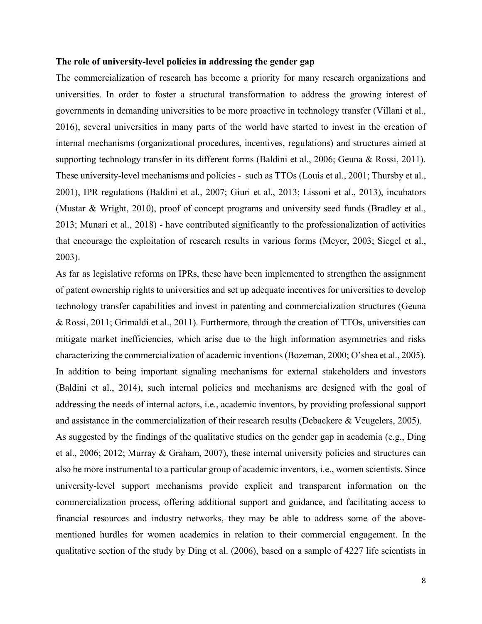### **The role of university-level policies in addressing the gender gap**

The commercialization of research has become a priority for many research organizations and universities. In order to foster a structural transformation to address the growing interest of governments in demanding universities to be more proactive in technology transfer (Villani et al., 2016), several universities in many parts of the world have started to invest in the creation of internal mechanisms (organizational procedures, incentives, regulations) and structures aimed at supporting technology transfer in its different forms (Baldini et al., 2006; Geuna & Rossi, 2011). These university-level mechanisms and policies - such as TTOs (Louis et al., 2001; Thursby et al., 2001), IPR regulations (Baldini et al., 2007; Giuri et al., 2013; Lissoni et al., 2013), incubators (Mustar & Wright, 2010), proof of concept programs and university seed funds (Bradley et al., 2013; Munari et al., 2018) - have contributed significantly to the professionalization of activities that encourage the exploitation of research results in various forms (Meyer, 2003; Siegel et al., 2003).

As far as legislative reforms on IPRs, these have been implemented to strengthen the assignment of patent ownership rights to universities and set up adequate incentives for universities to develop technology transfer capabilities and invest in patenting and commercialization structures (Geuna & Rossi, 2011; Grimaldi et al., 2011). Furthermore, through the creation of TTOs, universities can mitigate market inefficiencies, which arise due to the high information asymmetries and risks characterizing the commercialization of academic inventions(Bozeman, 2000; O'shea et al., 2005). In addition to being important signaling mechanisms for external stakeholders and investors (Baldini et al., 2014), such internal policies and mechanisms are designed with the goal of addressing the needs of internal actors, i.e., academic inventors, by providing professional support and assistance in the commercialization of their research results (Debackere & Veugelers, 2005). As suggested by the findings of the qualitative studies on the gender gap in academia (e.g., Ding et al., 2006; 2012; Murray & Graham, 2007), these internal university policies and structures can also be more instrumental to a particular group of academic inventors, i.e., women scientists. Since university-level support mechanisms provide explicit and transparent information on the commercialization process, offering additional support and guidance, and facilitating access to financial resources and industry networks, they may be able to address some of the abovementioned hurdles for women academics in relation to their commercial engagement. In the qualitative section of the study by Ding et al. (2006), based on a sample of 4227 life scientists in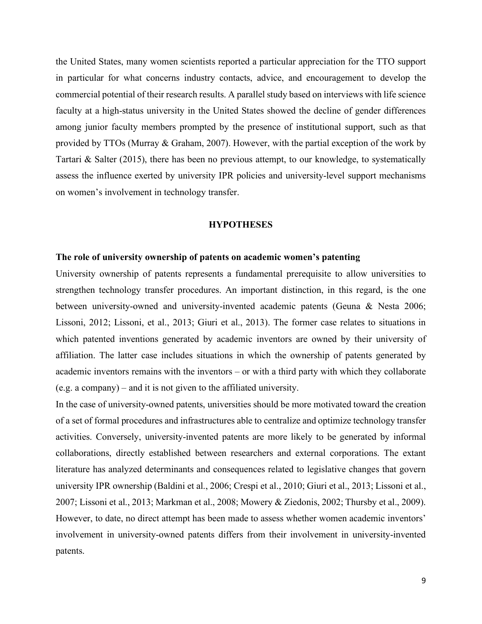the United States, many women scientists reported a particular appreciation for the TTO support in particular for what concerns industry contacts, advice, and encouragement to develop the commercial potential of their research results. A parallel study based on interviews with life science faculty at a high-status university in the United States showed the decline of gender differences among junior faculty members prompted by the presence of institutional support, such as that provided by TTOs (Murray & Graham, 2007). However, with the partial exception of the work by Tartari & Salter (2015), there has been no previous attempt, to our knowledge, to systematically assess the influence exerted by university IPR policies and university-level support mechanisms on women's involvement in technology transfer.

#### **HYPOTHESES**

# **The role of university ownership of patents on academic women's patenting**

University ownership of patents represents a fundamental prerequisite to allow universities to strengthen technology transfer procedures. An important distinction, in this regard, is the one between university-owned and university-invented academic patents (Geuna & Nesta 2006; Lissoni, 2012; Lissoni, et al., 2013; Giuri et al., 2013). The former case relates to situations in which patented inventions generated by academic inventors are owned by their university of affiliation. The latter case includes situations in which the ownership of patents generated by academic inventors remains with the inventors – or with a third party with which they collaborate (e.g. a company) – and it is not given to the affiliated university.

In the case of university-owned patents, universities should be more motivated toward the creation of a set of formal procedures and infrastructures able to centralize and optimize technology transfer activities. Conversely, university-invented patents are more likely to be generated by informal collaborations, directly established between researchers and external corporations. The extant literature has analyzed determinants and consequences related to legislative changes that govern university IPR ownership (Baldini et al., 2006; Crespi et al., 2010; Giuri et al., 2013; Lissoni et al., 2007; Lissoni et al., 2013; Markman et al., 2008; Mowery & Ziedonis, 2002; Thursby et al., 2009). However, to date, no direct attempt has been made to assess whether women academic inventors' involvement in university-owned patents differs from their involvement in university-invented patents.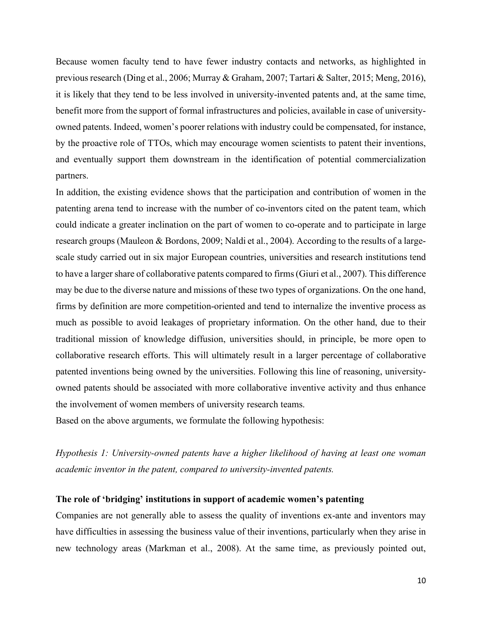Because women faculty tend to have fewer industry contacts and networks, as highlighted in previous research (Ding et al., 2006; Murray & Graham, 2007; Tartari & Salter, 2015; Meng, 2016), it is likely that they tend to be less involved in university-invented patents and, at the same time, benefit more from the support of formal infrastructures and policies, available in case of universityowned patents. Indeed, women's poorer relations with industry could be compensated, for instance, by the proactive role of TTOs, which may encourage women scientists to patent their inventions, and eventually support them downstream in the identification of potential commercialization partners.

In addition, the existing evidence shows that the participation and contribution of women in the patenting arena tend to increase with the number of co-inventors cited on the patent team, which could indicate a greater inclination on the part of women to co-operate and to participate in large research groups (Mauleon & Bordons, 2009; Naldi et al., 2004). According to the results of a largescale study carried out in six major European countries, universities and research institutions tend to have a larger share of collaborative patents compared to firms (Giuri et al., 2007). This difference may be due to the diverse nature and missions of these two types of organizations. On the one hand, firms by definition are more competition-oriented and tend to internalize the inventive process as much as possible to avoid leakages of proprietary information. On the other hand, due to their traditional mission of knowledge diffusion, universities should, in principle, be more open to collaborative research efforts. This will ultimately result in a larger percentage of collaborative patented inventions being owned by the universities. Following this line of reasoning, universityowned patents should be associated with more collaborative inventive activity and thus enhance the involvement of women members of university research teams.

Based on the above arguments, we formulate the following hypothesis:

*Hypothesis 1: University-owned patents have a higher likelihood of having at least one woman academic inventor in the patent, compared to university-invented patents.* 

# **The role of 'bridging' institutions in support of academic women's patenting**

Companies are not generally able to assess the quality of inventions ex-ante and inventors may have difficulties in assessing the business value of their inventions, particularly when they arise in new technology areas (Markman et al., 2008). At the same time, as previously pointed out,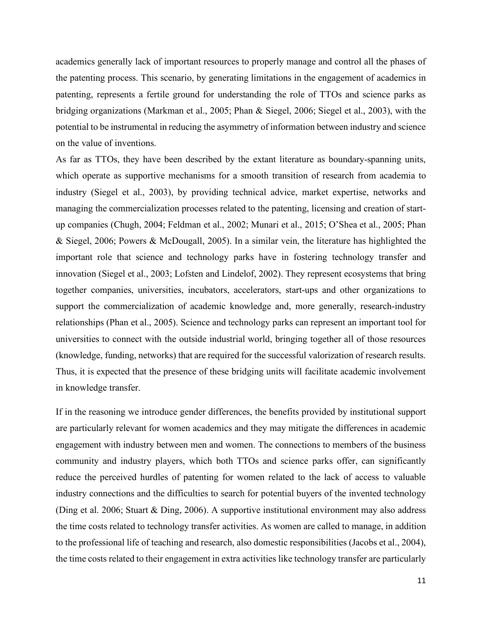academics generally lack of important resources to properly manage and control all the phases of the patenting process. This scenario, by generating limitations in the engagement of academics in patenting, represents a fertile ground for understanding the role of TTOs and science parks as bridging organizations (Markman et al., 2005; Phan & Siegel, 2006; Siegel et al., 2003), with the potential to be instrumental in reducing the asymmetry of information between industry and science on the value of inventions.

As far as TTOs, they have been described by the extant literature as boundary-spanning units, which operate as supportive mechanisms for a smooth transition of research from academia to industry (Siegel et al., 2003), by providing technical advice, market expertise, networks and managing the commercialization processes related to the patenting, licensing and creation of startup companies (Chugh, 2004; Feldman et al., 2002; Munari et al., 2015; O'Shea et al., 2005; Phan & Siegel, 2006; Powers & McDougall, 2005). In a similar vein, the literature has highlighted the important role that science and technology parks have in fostering technology transfer and innovation (Siegel et al., 2003; Lofsten and Lindelof, 2002). They represent ecosystems that bring together companies, universities, incubators, accelerators, start-ups and other organizations to support the commercialization of academic knowledge and, more generally, research-industry relationships (Phan et al., 2005). Science and technology parks can represent an important tool for universities to connect with the outside industrial world, bringing together all of those resources (knowledge, funding, networks) that are required for the successful valorization of research results. Thus, it is expected that the presence of these bridging units will facilitate academic involvement in knowledge transfer.

If in the reasoning we introduce gender differences, the benefits provided by institutional support are particularly relevant for women academics and they may mitigate the differences in academic engagement with industry between men and women. The connections to members of the business community and industry players, which both TTOs and science parks offer, can significantly reduce the perceived hurdles of patenting for women related to the lack of access to valuable industry connections and the difficulties to search for potential buyers of the invented technology (Ding et al. 2006; Stuart & Ding, 2006). A supportive institutional environment may also address the time costs related to technology transfer activities. As women are called to manage, in addition to the professional life of teaching and research, also domestic responsibilities (Jacobs et al., 2004), the time costs related to their engagement in extra activities like technology transfer are particularly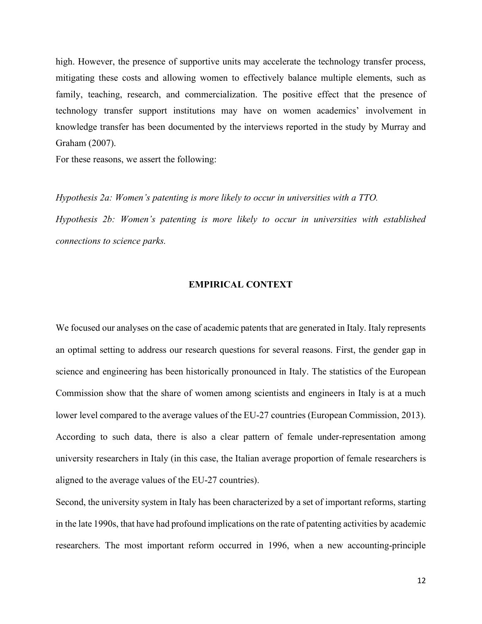high. However, the presence of supportive units may accelerate the technology transfer process, mitigating these costs and allowing women to effectively balance multiple elements, such as family, teaching, research, and commercialization. The positive effect that the presence of technology transfer support institutions may have on women academics' involvement in knowledge transfer has been documented by the interviews reported in the study by Murray and Graham (2007).

For these reasons, we assert the following:

*Hypothesis 2a: Women's patenting is more likely to occur in universities with a TTO. Hypothesis 2b: Women's patenting is more likely to occur in universities with established connections to science parks.*

#### **EMPIRICAL CONTEXT**

We focused our analyses on the case of academic patents that are generated in Italy. Italy represents an optimal setting to address our research questions for several reasons. First, the gender gap in science and engineering has been historically pronounced in Italy. The statistics of the European Commission show that the share of women among scientists and engineers in Italy is at a much lower level compared to the average values of the EU-27 countries (European Commission, 2013). According to such data, there is also a clear pattern of female under-representation among university researchers in Italy (in this case, the Italian average proportion of female researchers is aligned to the average values of the EU-27 countries).

Second, the university system in Italy has been characterized by a set of important reforms, starting in the late 1990s, that have had profound implications on the rate of patenting activities by academic researchers. The most important reform occurred in 1996, when a new accounting-principle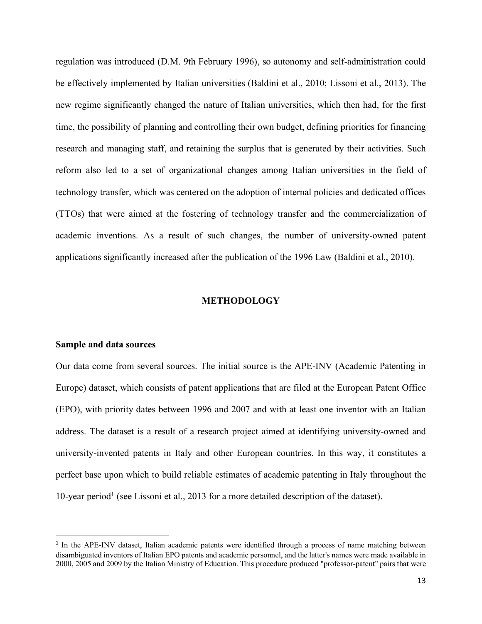regulation was introduced (D.M. 9th February 1996), so autonomy and self-administration could be effectively implemented by Italian universities (Baldini et al., 2010; Lissoni et al., 2013). The new regime significantly changed the nature of Italian universities, which then had, for the first time, the possibility of planning and controlling their own budget, defining priorities for financing research and managing staff, and retaining the surplus that is generated by their activities. Such reform also led to a set of organizational changes among Italian universities in the field of technology transfer, which was centered on the adoption of internal policies and dedicated offices (TTOs) that were aimed at the fostering of technology transfer and the commercialization of academic inventions. As a result of such changes, the number of university-owned patent applications significantly increased after the publication of the 1996 Law (Baldini et al., 2010).

# **METHODOLOGY**

#### **Sample and data sources**

Our data come from several sources. The initial source is the APE-INV (Academic Patenting in Europe) dataset, which consists of patent applications that are filed at the European Patent Office (EPO), with priority dates between 1996 and 2007 and with at least one inventor with an Italian address. The dataset is a result of a research project aimed at identifying university-owned and university-invented patents in Italy and other European countries. In this way, it constitutes a perfect base upon which to build reliable estimates of academic patenting in Italy throughout the 10-year period<sup>1</sup> (see Lissoni et al., 2013 for a more detailed description of the dataset).

<sup>&</sup>lt;sup>1</sup> In the APE-INV dataset, Italian academic patents were identified through a process of name matching between disambiguated inventors of Italian EPO patents and academic personnel, and the latter's names were made available in 2000, 2005 and 2009 by the Italian Ministry of Education. This procedure produced "professor-patent" pairs that were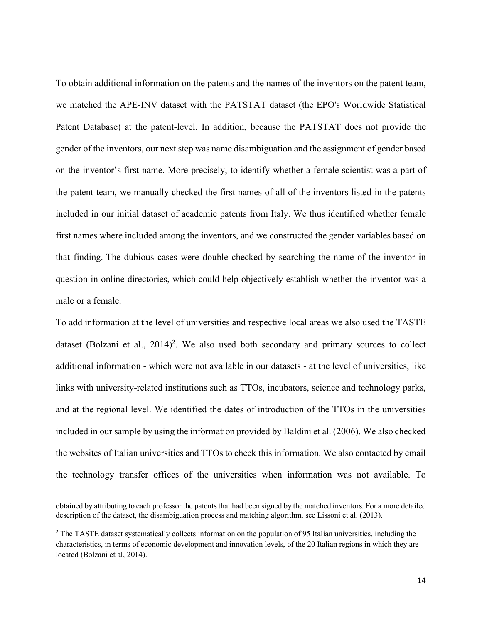To obtain additional information on the patents and the names of the inventors on the patent team, we matched the APE-INV dataset with the PATSTAT dataset (the EPO's Worldwide Statistical Patent Database) at the patent-level. In addition, because the PATSTAT does not provide the gender of the inventors, our next step was name disambiguation and the assignment of gender based on the inventor's first name. More precisely, to identify whether a female scientist was a part of the patent team, we manually checked the first names of all of the inventors listed in the patents included in our initial dataset of academic patents from Italy. We thus identified whether female first names where included among the inventors, and we constructed the gender variables based on that finding. The dubious cases were double checked by searching the name of the inventor in question in online directories, which could help objectively establish whether the inventor was a male or a female.

To add information at the level of universities and respective local areas we also used the TASTE dataset (Bolzani et al.,  $2014$ )<sup>2</sup>. We also used both secondary and primary sources to collect additional information - which were not available in our datasets - at the level of universities, like links with university-related institutions such as TTOs, incubators, science and technology parks, and at the regional level. We identified the dates of introduction of the TTOs in the universities included in our sample by using the information provided by Baldini et al. (2006). We also checked the websites of Italian universities and TTOs to check this information. We also contacted by email the technology transfer offices of the universities when information was not available. To

 $\overline{a}$ 

obtained by attributing to each professor the patents that had been signed by the matched inventors. For a more detailed description of the dataset, the disambiguation process and matching algorithm, see Lissoni et al. (2013).

<sup>&</sup>lt;sup>2</sup> The TASTE dataset systematically collects information on the population of 95 Italian universities, including the characteristics, in terms of economic development and innovation levels, of the 20 Italian regions in which they are located (Bolzani et al, 2014).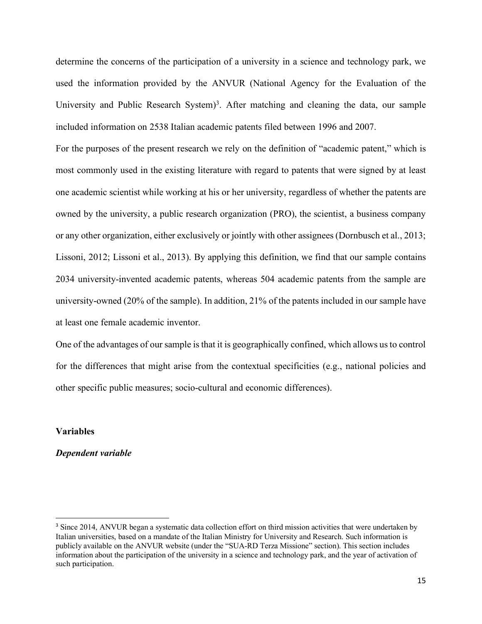determine the concerns of the participation of a university in a science and technology park, we used the information provided by the ANVUR (National Agency for the Evaluation of the University and Public Research System)<sup>3</sup>. After matching and cleaning the data, our sample included information on 2538 Italian academic patents filed between 1996 and 2007.

For the purposes of the present research we rely on the definition of "academic patent," which is most commonly used in the existing literature with regard to patents that were signed by at least one academic scientist while working at his or her university, regardless of whether the patents are owned by the university, a public research organization (PRO), the scientist, a business company or any other organization, either exclusively or jointly with other assignees (Dornbusch et al., 2013; Lissoni, 2012; Lissoni et al., 2013). By applying this definition, we find that our sample contains 2034 university-invented academic patents, whereas 504 academic patents from the sample are university-owned (20% of the sample). In addition, 21% of the patents included in our sample have at least one female academic inventor.

One of the advantages of our sample is that it is geographically confined, which allows us to control for the differences that might arise from the contextual specificities (e.g., national policies and other specific public measures; socio-cultural and economic differences).

## **Variables**

# *Dependent variable*

<sup>&</sup>lt;sup>3</sup> Since 2014, ANVUR began a systematic data collection effort on third mission activities that were undertaken by Italian universities, based on a mandate of the Italian Ministry for University and Research. Such information is publicly available on the ANVUR website (under the "SUA-RD Terza Missione" section). This section includes information about the participation of the university in a science and technology park, and the year of activation of such participation.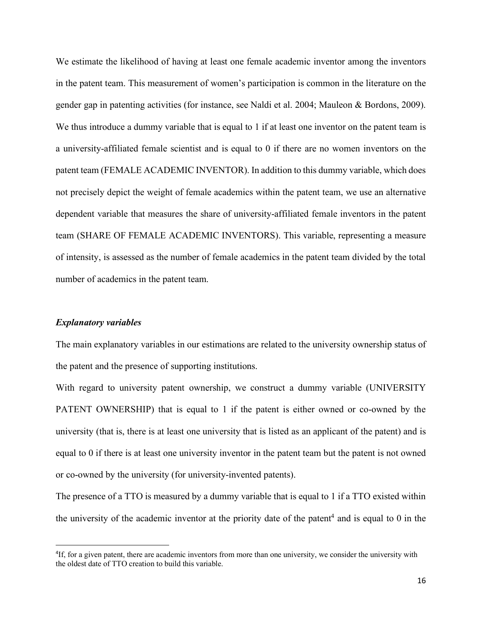We estimate the likelihood of having at least one female academic inventor among the inventors in the patent team. This measurement of women's participation is common in the literature on the gender gap in patenting activities (for instance, see Naldi et al. 2004; Mauleon & Bordons, 2009). We thus introduce a dummy variable that is equal to 1 if at least one inventor on the patent team is a university-affiliated female scientist and is equal to 0 if there are no women inventors on the patent team (FEMALE ACADEMIC INVENTOR). In addition to this dummy variable, which does not precisely depict the weight of female academics within the patent team, we use an alternative dependent variable that measures the share of university-affiliated female inventors in the patent team (SHARE OF FEMALE ACADEMIC INVENTORS). This variable, representing a measure of intensity, is assessed as the number of female academics in the patent team divided by the total number of academics in the patent team.

# *Explanatory variables*

The main explanatory variables in our estimations are related to the university ownership status of the patent and the presence of supporting institutions.

With regard to university patent ownership, we construct a dummy variable (UNIVERSITY PATENT OWNERSHIP) that is equal to 1 if the patent is either owned or co-owned by the university (that is, there is at least one university that is listed as an applicant of the patent) and is equal to 0 if there is at least one university inventor in the patent team but the patent is not owned or co-owned by the university (for university-invented patents).

The presence of a TTO is measured by a dummy variable that is equal to 1 if a TTO existed within the university of the academic inventor at the priority date of the patent<sup>4</sup> and is equal to 0 in the

 $\overline{a}$ <sup>4</sup>If, for a given patent, there are academic inventors from more than one university, we consider the university with the oldest date of TTO creation to build this variable.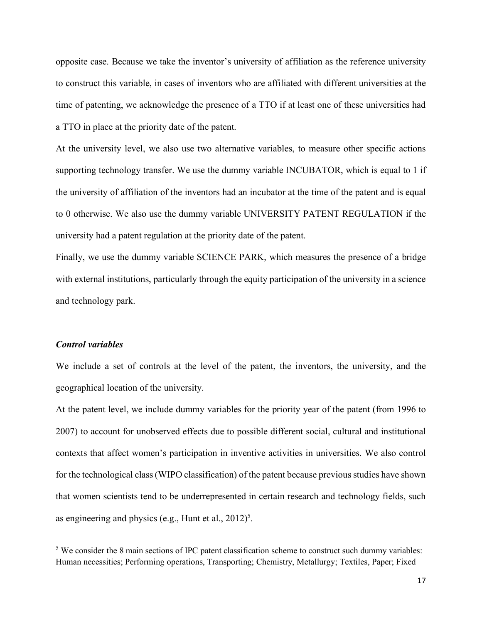opposite case. Because we take the inventor's university of affiliation as the reference university to construct this variable, in cases of inventors who are affiliated with different universities at the time of patenting, we acknowledge the presence of a TTO if at least one of these universities had a TTO in place at the priority date of the patent.

At the university level, we also use two alternative variables, to measure other specific actions supporting technology transfer. We use the dummy variable INCUBATOR, which is equal to 1 if the university of affiliation of the inventors had an incubator at the time of the patent and is equal to 0 otherwise. We also use the dummy variable UNIVERSITY PATENT REGULATION if the university had a patent regulation at the priority date of the patent.

Finally, we use the dummy variable SCIENCE PARK, which measures the presence of a bridge with external institutions, particularly through the equity participation of the university in a science and technology park.

# *Control variables*

 $\overline{a}$ 

We include a set of controls at the level of the patent, the inventors, the university, and the geographical location of the university.

At the patent level, we include dummy variables for the priority year of the patent (from 1996 to 2007) to account for unobserved effects due to possible different social, cultural and institutional contexts that affect women's participation in inventive activities in universities. We also control for the technological class (WIPO classification) of the patent because previous studies have shown that women scientists tend to be underrepresented in certain research and technology fields, such as engineering and physics (e.g., Hunt et al.,  $2012$ )<sup>5</sup>.

<sup>&</sup>lt;sup>5</sup> We consider the 8 main sections of IPC patent classification scheme to construct such dummy variables: Human necessities; Performing operations, Transporting; Chemistry, Metallurgy; Textiles, Paper; Fixed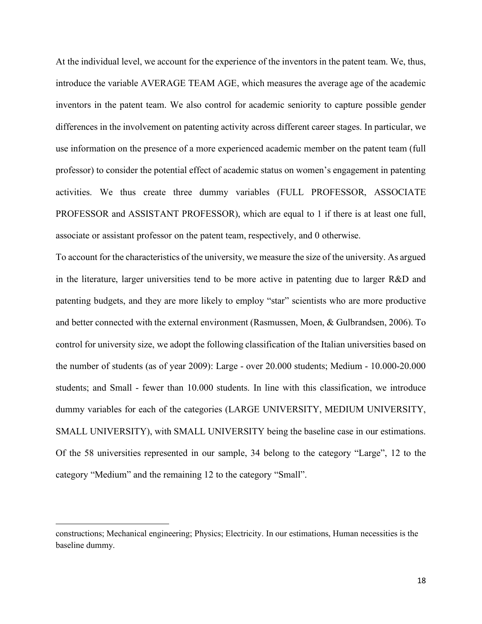At the individual level, we account for the experience of the inventors in the patent team. We, thus, introduce the variable AVERAGE TEAM AGE, which measures the average age of the academic inventors in the patent team. We also control for academic seniority to capture possible gender differences in the involvement on patenting activity across different career stages. In particular, we use information on the presence of a more experienced academic member on the patent team (full professor) to consider the potential effect of academic status on women's engagement in patenting activities. We thus create three dummy variables (FULL PROFESSOR, ASSOCIATE PROFESSOR and ASSISTANT PROFESSOR), which are equal to 1 if there is at least one full, associate or assistant professor on the patent team, respectively, and 0 otherwise.

To account for the characteristics of the university, we measure the size of the university. As argued in the literature, larger universities tend to be more active in patenting due to larger R&D and patenting budgets, and they are more likely to employ "star" scientists who are more productive and better connected with the external environment (Rasmussen, Moen, & Gulbrandsen, 2006). To control for university size, we adopt the following classification of the Italian universities based on the number of students (as of year 2009): Large - over 20.000 students; Medium - 10.000-20.000 students; and Small - fewer than 10.000 students. In line with this classification, we introduce dummy variables for each of the categories (LARGE UNIVERSITY, MEDIUM UNIVERSITY, SMALL UNIVERSITY), with SMALL UNIVERSITY being the baseline case in our estimations. Of the 58 universities represented in our sample, 34 belong to the category "Large", 12 to the category "Medium" and the remaining 12 to the category "Small".

l

constructions; Mechanical engineering; Physics; Electricity. In our estimations, Human necessities is the baseline dummy.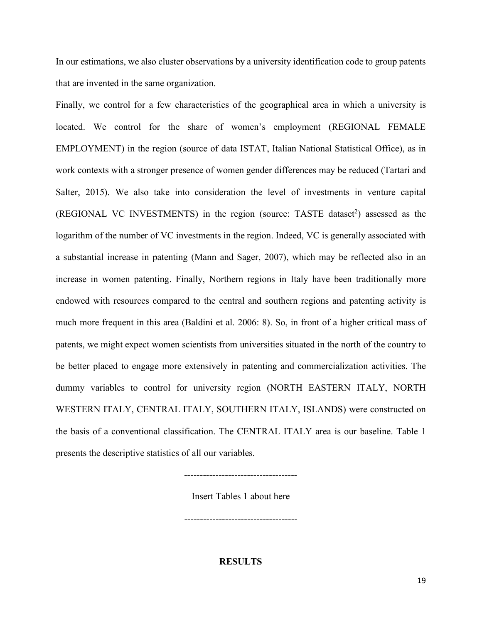In our estimations, we also cluster observations by a university identification code to group patents that are invented in the same organization.

Finally, we control for a few characteristics of the geographical area in which a university is located. We control for the share of women's employment (REGIONAL FEMALE EMPLOYMENT) in the region (source of data ISTAT, Italian National Statistical Office), as in work contexts with a stronger presence of women gender differences may be reduced (Tartari and Salter, 2015). We also take into consideration the level of investments in venture capital (REGIONAL VC INVESTMENTS) in the region (source: TASTE dataset<sup>2</sup>) assessed as the logarithm of the number of VC investments in the region. Indeed, VC is generally associated with a substantial increase in patenting (Mann and Sager, 2007), which may be reflected also in an increase in women patenting. Finally, Northern regions in Italy have been traditionally more endowed with resources compared to the central and southern regions and patenting activity is much more frequent in this area (Baldini et al. 2006: 8). So, in front of a higher critical mass of patents, we might expect women scientists from universities situated in the north of the country to be better placed to engage more extensively in patenting and commercialization activities. The dummy variables to control for university region (NORTH EASTERN ITALY, NORTH WESTERN ITALY, CENTRAL ITALY, SOUTHERN ITALY, ISLANDS) were constructed on the basis of a conventional classification. The CENTRAL ITALY area is our baseline. Table 1 presents the descriptive statistics of all our variables.

------------------------------------

Insert Tables 1 about here

------------------------------------

**RESULTS**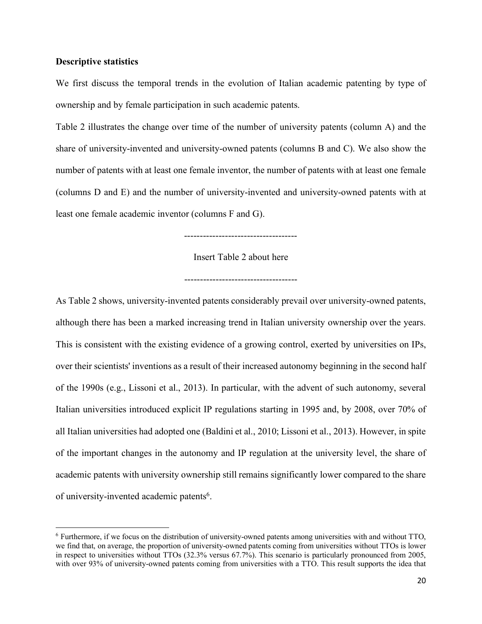## **Descriptive statistics**

 $\overline{a}$ 

We first discuss the temporal trends in the evolution of Italian academic patenting by type of ownership and by female participation in such academic patents.

Table 2 illustrates the change over time of the number of university patents (column A) and the share of university-invented and university-owned patents (columns B and C). We also show the number of patents with at least one female inventor, the number of patents with at least one female (columns D and E) and the number of university-invented and university-owned patents with at least one female academic inventor (columns F and G).

------------------------------------

Insert Table 2 about here

------------------------------------

As Table 2 shows, university-invented patents considerably prevail over university-owned patents, although there has been a marked increasing trend in Italian university ownership over the years. This is consistent with the existing evidence of a growing control, exerted by universities on IPs, over their scientists' inventions as a result of their increased autonomy beginning in the second half of the 1990s (e.g., Lissoni et al., 2013). In particular, with the advent of such autonomy, several Italian universities introduced explicit IP regulations starting in 1995 and, by 2008, over 70% of all Italian universities had adopted one (Baldini et al., 2010; Lissoni et al., 2013). However, in spite of the important changes in the autonomy and IP regulation at the university level, the share of academic patents with university ownership still remains significantly lower compared to the share of university-invented academic patents<sup>6</sup>.

<sup>6</sup> Furthermore, if we focus on the distribution of university-owned patents among universities with and without TTO, we find that, on average, the proportion of university-owned patents coming from universities without TTOs is lower in respect to universities without TTOs (32.3% versus 67.7%). This scenario is particularly pronounced from 2005, with over 93% of university-owned patents coming from universities with a TTO. This result supports the idea that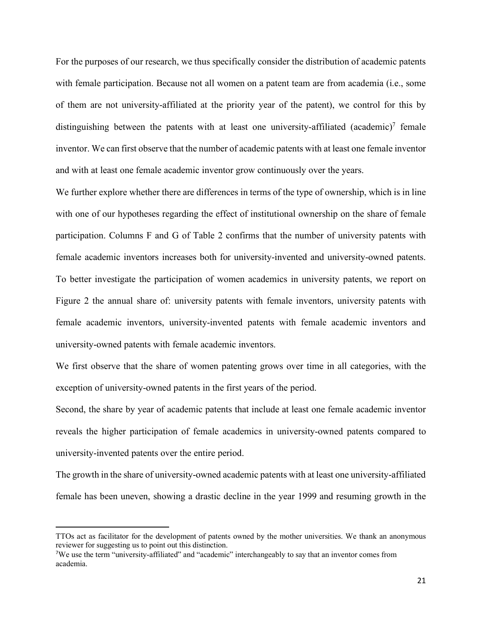For the purposes of our research, we thus specifically consider the distribution of academic patents with female participation. Because not all women on a patent team are from academia (i.e., some of them are not university-affiliated at the priority year of the patent), we control for this by distinguishing between the patents with at least one university-affiliated (academic)<sup>7</sup> female inventor. We can first observe that the number of academic patents with at least one female inventor and with at least one female academic inventor grow continuously over the years.

We further explore whether there are differences in terms of the type of ownership, which is in line with one of our hypotheses regarding the effect of institutional ownership on the share of female participation. Columns F and G of Table 2 confirms that the number of university patents with female academic inventors increases both for university-invented and university-owned patents. To better investigate the participation of women academics in university patents, we report on Figure 2 the annual share of: university patents with female inventors, university patents with female academic inventors, university-invented patents with female academic inventors and university-owned patents with female academic inventors.

We first observe that the share of women patenting grows over time in all categories, with the exception of university-owned patents in the first years of the period.

Second, the share by year of academic patents that include at least one female academic inventor reveals the higher participation of female academics in university-owned patents compared to university-invented patents over the entire period.

The growth in the share of university-owned academic patents with at least one university-affiliated female has been uneven, showing a drastic decline in the year 1999 and resuming growth in the

 $\overline{a}$ 

TTOs act as facilitator for the development of patents owned by the mother universities. We thank an anonymous reviewer for suggesting us to point out this distinction.

<sup>7</sup> We use the term "university-affiliated" and "academic" interchangeably to say that an inventor comes from academia.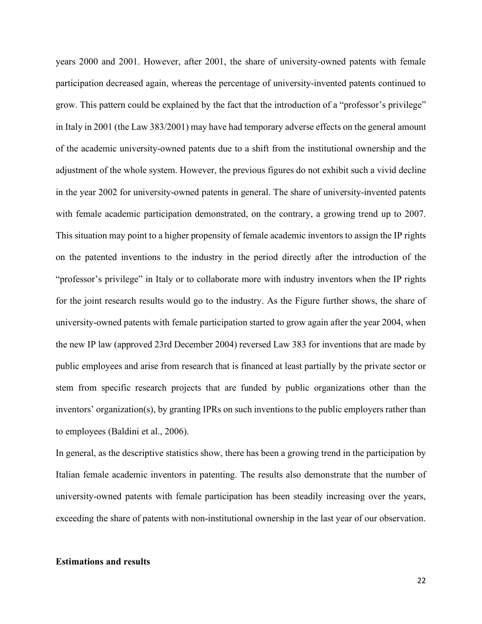years 2000 and 2001. However, after 2001, the share of university-owned patents with female participation decreased again, whereas the percentage of university-invented patents continued to grow. This pattern could be explained by the fact that the introduction of a "professor's privilege" in Italy in 2001 (the Law 383/2001) may have had temporary adverse effects on the general amount of the academic university-owned patents due to a shift from the institutional ownership and the adjustment of the whole system. However, the previous figures do not exhibit such a vivid decline in the year 2002 for university-owned patents in general. The share of university-invented patents with female academic participation demonstrated, on the contrary, a growing trend up to 2007. This situation may point to a higher propensity of female academic inventors to assign the IP rights on the patented inventions to the industry in the period directly after the introduction of the "professor's privilege" in Italy or to collaborate more with industry inventors when the IP rights for the joint research results would go to the industry. As the Figure further shows, the share of university-owned patents with female participation started to grow again after the year 2004, when the new IP law (approved 23rd December 2004) reversed Law 383 for inventions that are made by public employees and arise from research that is financed at least partially by the private sector or stem from specific research projects that are funded by public organizations other than the inventors' organization(s), by granting IPRs on such inventions to the public employers rather than to employees (Baldini et al., 2006).

In general, as the descriptive statistics show, there has been a growing trend in the participation by Italian female academic inventors in patenting. The results also demonstrate that the number of university-owned patents with female participation has been steadily increasing over the years, exceeding the share of patents with non-institutional ownership in the last year of our observation.

# **Estimations and results**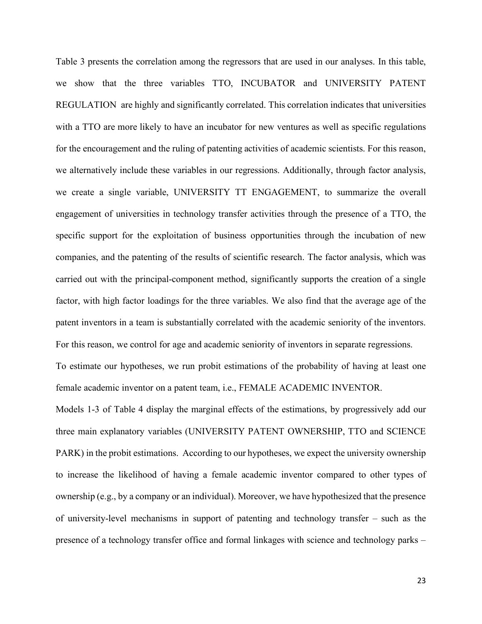Table 3 presents the correlation among the regressors that are used in our analyses. In this table, we show that the three variables TTO, INCUBATOR and UNIVERSITY PATENT REGULATION are highly and significantly correlated. This correlation indicates that universities with a TTO are more likely to have an incubator for new ventures as well as specific regulations for the encouragement and the ruling of patenting activities of academic scientists. For this reason, we alternatively include these variables in our regressions. Additionally, through factor analysis, we create a single variable, UNIVERSITY TT ENGAGEMENT, to summarize the overall engagement of universities in technology transfer activities through the presence of a TTO, the specific support for the exploitation of business opportunities through the incubation of new companies, and the patenting of the results of scientific research. The factor analysis, which was carried out with the principal-component method, significantly supports the creation of a single factor, with high factor loadings for the three variables. We also find that the average age of the patent inventors in a team is substantially correlated with the academic seniority of the inventors. For this reason, we control for age and academic seniority of inventors in separate regressions.

To estimate our hypotheses, we run probit estimations of the probability of having at least one female academic inventor on a patent team, i.e., FEMALE ACADEMIC INVENTOR.

Models 1-3 of Table 4 display the marginal effects of the estimations, by progressively add our three main explanatory variables (UNIVERSITY PATENT OWNERSHIP, TTO and SCIENCE PARK) in the probit estimations. According to our hypotheses, we expect the university ownership to increase the likelihood of having a female academic inventor compared to other types of ownership (e.g., by a company or an individual). Moreover, we have hypothesized that the presence of university-level mechanisms in support of patenting and technology transfer – such as the presence of a technology transfer office and formal linkages with science and technology parks –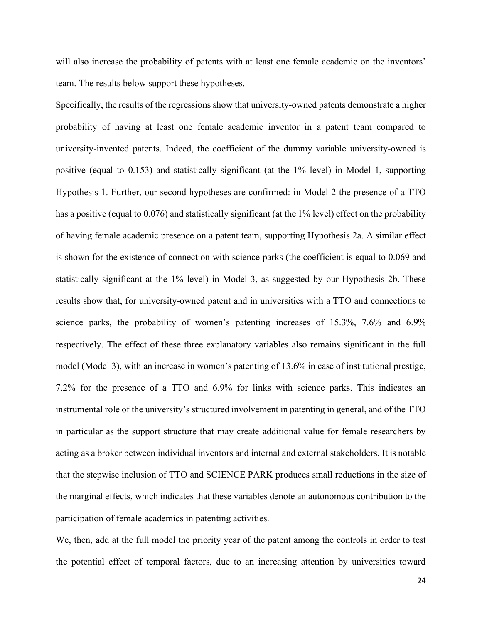will also increase the probability of patents with at least one female academic on the inventors' team. The results below support these hypotheses.

Specifically, the results of the regressions show that university-owned patents demonstrate a higher probability of having at least one female academic inventor in a patent team compared to university-invented patents. Indeed, the coefficient of the dummy variable university-owned is positive (equal to 0.153) and statistically significant (at the 1% level) in Model 1, supporting Hypothesis 1. Further, our second hypotheses are confirmed: in Model 2 the presence of a TTO has a positive (equal to 0.076) and statistically significant (at the 1% level) effect on the probability of having female academic presence on a patent team, supporting Hypothesis 2a. A similar effect is shown for the existence of connection with science parks (the coefficient is equal to 0.069 and statistically significant at the 1% level) in Model 3, as suggested by our Hypothesis 2b. These results show that, for university-owned patent and in universities with a TTO and connections to science parks, the probability of women's patenting increases of 15.3%, 7.6% and 6.9% respectively. The effect of these three explanatory variables also remains significant in the full model (Model 3), with an increase in women's patenting of 13.6% in case of institutional prestige, 7.2% for the presence of a TTO and 6.9% for links with science parks. This indicates an instrumental role of the university's structured involvement in patenting in general, and of the TTO in particular as the support structure that may create additional value for female researchers by acting as a broker between individual inventors and internal and external stakeholders. It is notable that the stepwise inclusion of TTO and SCIENCE PARK produces small reductions in the size of the marginal effects, which indicates that these variables denote an autonomous contribution to the participation of female academics in patenting activities.

We, then, add at the full model the priority year of the patent among the controls in order to test the potential effect of temporal factors, due to an increasing attention by universities toward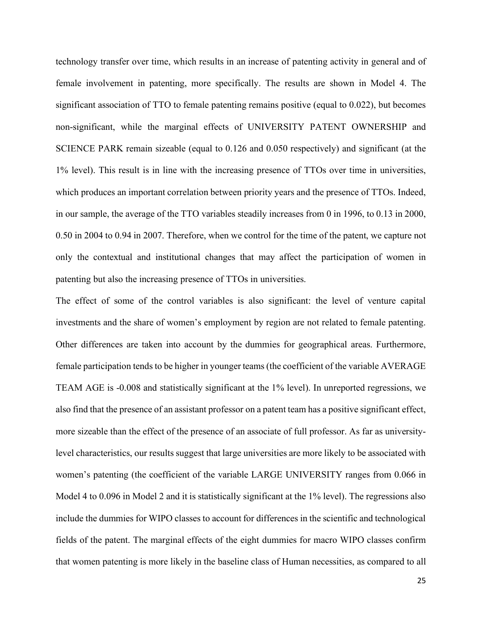technology transfer over time, which results in an increase of patenting activity in general and of female involvement in patenting, more specifically. The results are shown in Model 4. The significant association of TTO to female patenting remains positive (equal to 0.022), but becomes non-significant, while the marginal effects of UNIVERSITY PATENT OWNERSHIP and SCIENCE PARK remain sizeable (equal to 0.126 and 0.050 respectively) and significant (at the 1% level). This result is in line with the increasing presence of TTOs over time in universities, which produces an important correlation between priority years and the presence of TTOs. Indeed, in our sample, the average of the TTO variables steadily increases from 0 in 1996, to 0.13 in 2000, 0.50 in 2004 to 0.94 in 2007. Therefore, when we control for the time of the patent, we capture not only the contextual and institutional changes that may affect the participation of women in patenting but also the increasing presence of TTOs in universities.

The effect of some of the control variables is also significant: the level of venture capital investments and the share of women's employment by region are not related to female patenting. Other differences are taken into account by the dummies for geographical areas. Furthermore, female participation tends to be higher in younger teams(the coefficient of the variable AVERAGE TEAM AGE is -0.008 and statistically significant at the 1% level). In unreported regressions, we also find that the presence of an assistant professor on a patent team has a positive significant effect, more sizeable than the effect of the presence of an associate of full professor. As far as universitylevel characteristics, our results suggest that large universities are more likely to be associated with women's patenting (the coefficient of the variable LARGE UNIVERSITY ranges from 0.066 in Model 4 to 0.096 in Model 2 and it is statistically significant at the 1% level). The regressions also include the dummies for WIPO classes to account for differences in the scientific and technological fields of the patent. The marginal effects of the eight dummies for macro WIPO classes confirm that women patenting is more likely in the baseline class of Human necessities, as compared to all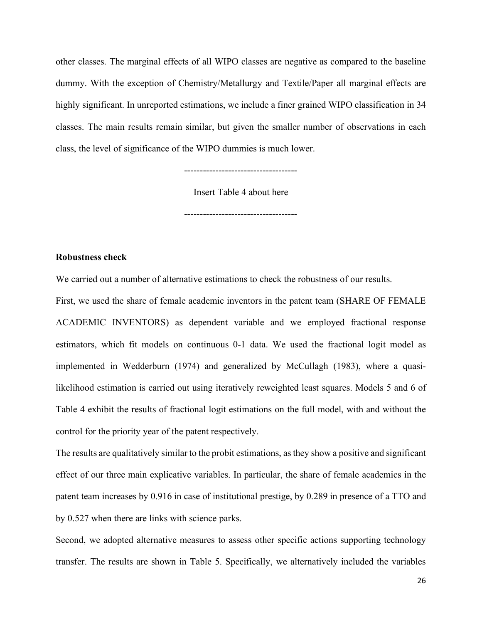other classes. The marginal effects of all WIPO classes are negative as compared to the baseline dummy. With the exception of Chemistry/Metallurgy and Textile/Paper all marginal effects are highly significant. In unreported estimations, we include a finer grained WIPO classification in 34 classes. The main results remain similar, but given the smaller number of observations in each class, the level of significance of the WIPO dummies is much lower.

------------------------------------

Insert Table 4 about here

------------------------------------

# **Robustness check**

We carried out a number of alternative estimations to check the robustness of our results.

First, we used the share of female academic inventors in the patent team (SHARE OF FEMALE ACADEMIC INVENTORS) as dependent variable and we employed fractional response estimators, which fit models on continuous 0-1 data. We used the fractional logit model as implemented in Wedderburn (1974) and generalized by McCullagh (1983), where a quasilikelihood estimation is carried out using iteratively reweighted least squares. Models 5 and 6 of Table 4 exhibit the results of fractional logit estimations on the full model, with and without the control for the priority year of the patent respectively.

The results are qualitatively similar to the probit estimations, as they show a positive and significant effect of our three main explicative variables. In particular, the share of female academics in the patent team increases by 0.916 in case of institutional prestige, by 0.289 in presence of a TTO and by 0.527 when there are links with science parks.

Second, we adopted alternative measures to assess other specific actions supporting technology transfer. The results are shown in Table 5. Specifically, we alternatively included the variables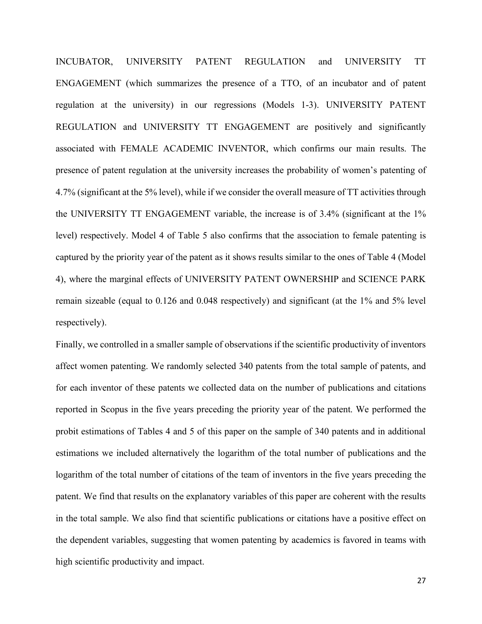INCUBATOR, UNIVERSITY PATENT REGULATION and UNIVERSITY TT ENGAGEMENT (which summarizes the presence of a TTO, of an incubator and of patent regulation at the university) in our regressions (Models 1-3). UNIVERSITY PATENT REGULATION and UNIVERSITY TT ENGAGEMENT are positively and significantly associated with FEMALE ACADEMIC INVENTOR, which confirms our main results. The presence of patent regulation at the university increases the probability of women's patenting of 4.7% (significant at the 5% level), while if we consider the overall measure of TT activities through the UNIVERSITY TT ENGAGEMENT variable, the increase is of 3.4% (significant at the 1% level) respectively. Model 4 of Table 5 also confirms that the association to female patenting is captured by the priority year of the patent as it shows results similar to the ones of Table 4 (Model 4), where the marginal effects of UNIVERSITY PATENT OWNERSHIP and SCIENCE PARK remain sizeable (equal to 0.126 and 0.048 respectively) and significant (at the 1% and 5% level respectively).

Finally, we controlled in a smaller sample of observations if the scientific productivity of inventors affect women patenting. We randomly selected 340 patents from the total sample of patents, and for each inventor of these patents we collected data on the number of publications and citations reported in Scopus in the five years preceding the priority year of the patent. We performed the probit estimations of Tables 4 and 5 of this paper on the sample of 340 patents and in additional estimations we included alternatively the logarithm of the total number of publications and the logarithm of the total number of citations of the team of inventors in the five years preceding the patent. We find that results on the explanatory variables of this paper are coherent with the results in the total sample. We also find that scientific publications or citations have a positive effect on the dependent variables, suggesting that women patenting by academics is favored in teams with high scientific productivity and impact.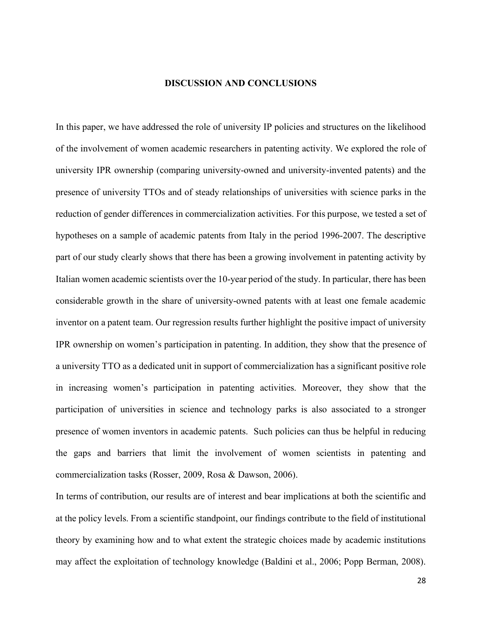#### **DISCUSSION AND CONCLUSIONS**

In this paper, we have addressed the role of university IP policies and structures on the likelihood of the involvement of women academic researchers in patenting activity. We explored the role of university IPR ownership (comparing university-owned and university-invented patents) and the presence of university TTOs and of steady relationships of universities with science parks in the reduction of gender differences in commercialization activities. For this purpose, we tested a set of hypotheses on a sample of academic patents from Italy in the period 1996-2007. The descriptive part of our study clearly shows that there has been a growing involvement in patenting activity by Italian women academic scientists over the 10-year period of the study. In particular, there has been considerable growth in the share of university-owned patents with at least one female academic inventor on a patent team. Our regression results further highlight the positive impact of university IPR ownership on women's participation in patenting. In addition, they show that the presence of a university TTO as a dedicated unit in support of commercialization has a significant positive role in increasing women's participation in patenting activities. Moreover, they show that the participation of universities in science and technology parks is also associated to a stronger presence of women inventors in academic patents. Such policies can thus be helpful in reducing the gaps and barriers that limit the involvement of women scientists in patenting and commercialization tasks (Rosser, 2009, Rosa & Dawson, 2006).

In terms of contribution, our results are of interest and bear implications at both the scientific and at the policy levels. From a scientific standpoint, our findings contribute to the field of institutional theory by examining how and to what extent the strategic choices made by academic institutions may affect the exploitation of technology knowledge (Baldini et al., 2006; Popp Berman, 2008).

28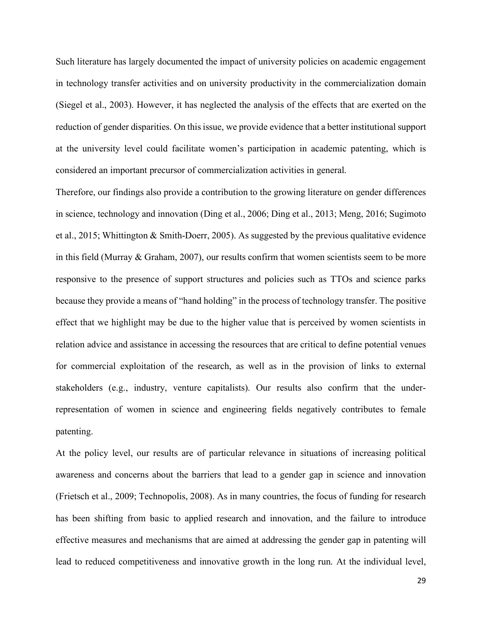Such literature has largely documented the impact of university policies on academic engagement in technology transfer activities and on university productivity in the commercialization domain (Siegel et al., 2003). However, it has neglected the analysis of the effects that are exerted on the reduction of gender disparities. On this issue, we provide evidence that a better institutional support at the university level could facilitate women's participation in academic patenting, which is considered an important precursor of commercialization activities in general.

Therefore, our findings also provide a contribution to the growing literature on gender differences in science, technology and innovation (Ding et al., 2006; Ding et al., 2013; Meng, 2016; Sugimoto et al., 2015; Whittington & Smith-Doerr, 2005). As suggested by the previous qualitative evidence in this field (Murray & Graham, 2007), our results confirm that women scientists seem to be more responsive to the presence of support structures and policies such as TTOs and science parks because they provide a means of "hand holding" in the process of technology transfer. The positive effect that we highlight may be due to the higher value that is perceived by women scientists in relation advice and assistance in accessing the resources that are critical to define potential venues for commercial exploitation of the research, as well as in the provision of links to external stakeholders (e.g., industry, venture capitalists). Our results also confirm that the underrepresentation of women in science and engineering fields negatively contributes to female patenting.

At the policy level, our results are of particular relevance in situations of increasing political awareness and concerns about the barriers that lead to a gender gap in science and innovation (Frietsch et al., 2009; Technopolis, 2008). As in many countries, the focus of funding for research has been shifting from basic to applied research and innovation, and the failure to introduce effective measures and mechanisms that are aimed at addressing the gender gap in patenting will lead to reduced competitiveness and innovative growth in the long run. At the individual level,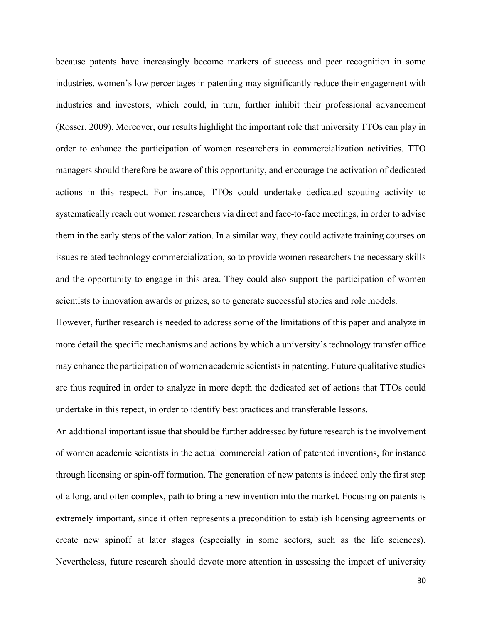because patents have increasingly become markers of success and peer recognition in some industries, women's low percentages in patenting may significantly reduce their engagement with industries and investors, which could, in turn, further inhibit their professional advancement (Rosser, 2009). Moreover, our results highlight the important role that university TTOs can play in order to enhance the participation of women researchers in commercialization activities. TTO managers should therefore be aware of this opportunity, and encourage the activation of dedicated actions in this respect. For instance, TTOs could undertake dedicated scouting activity to systematically reach out women researchers via direct and face-to-face meetings, in order to advise them in the early steps of the valorization. In a similar way, they could activate training courses on issues related technology commercialization, so to provide women researchers the necessary skills and the opportunity to engage in this area. They could also support the participation of women scientists to innovation awards or prizes, so to generate successful stories and role models.

However, further research is needed to address some of the limitations of this paper and analyze in more detail the specific mechanisms and actions by which a university's technology transfer office may enhance the participation of women academic scientists in patenting. Future qualitative studies are thus required in order to analyze in more depth the dedicated set of actions that TTOs could undertake in this repect, in order to identify best practices and transferable lessons.

An additional important issue that should be further addressed by future research is the involvement of women academic scientists in the actual commercialization of patented inventions, for instance through licensing or spin-off formation. The generation of new patents is indeed only the first step of a long, and often complex, path to bring a new invention into the market. Focusing on patents is extremely important, since it often represents a precondition to establish licensing agreements or create new spinoff at later stages (especially in some sectors, such as the life sciences). Nevertheless, future research should devote more attention in assessing the impact of university

30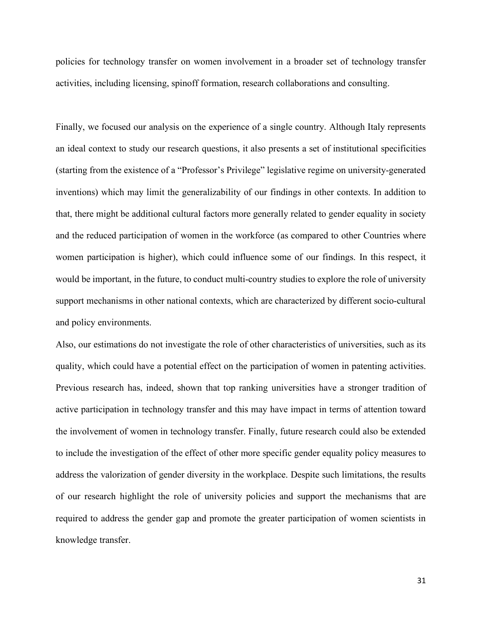policies for technology transfer on women involvement in a broader set of technology transfer activities, including licensing, spinoff formation, research collaborations and consulting.

Finally, we focused our analysis on the experience of a single country. Although Italy represents an ideal context to study our research questions, it also presents a set of institutional specificities (starting from the existence of a "Professor's Privilege" legislative regime on university-generated inventions) which may limit the generalizability of our findings in other contexts. In addition to that, there might be additional cultural factors more generally related to gender equality in society and the reduced participation of women in the workforce (as compared to other Countries where women participation is higher), which could influence some of our findings. In this respect, it would be important, in the future, to conduct multi-country studies to explore the role of university support mechanisms in other national contexts, which are characterized by different socio-cultural and policy environments.

Also, our estimations do not investigate the role of other characteristics of universities, such as its quality, which could have a potential effect on the participation of women in patenting activities. Previous research has, indeed, shown that top ranking universities have a stronger tradition of active participation in technology transfer and this may have impact in terms of attention toward the involvement of women in technology transfer. Finally, future research could also be extended to include the investigation of the effect of other more specific gender equality policy measures to address the valorization of gender diversity in the workplace. Despite such limitations, the results of our research highlight the role of university policies and support the mechanisms that are required to address the gender gap and promote the greater participation of women scientists in knowledge transfer.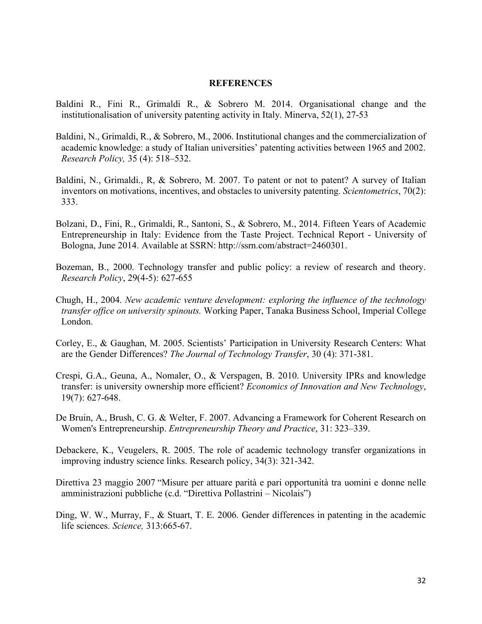### **REFERENCES**

- Baldini R., Fini R., Grimaldi R., & Sobrero M. 2014. Organisational change and the institutionalisation of university patenting activity in Italy. Minerva, 52(1), 27-53
- Baldini, N., Grimaldi, R., & Sobrero, M., 2006. Institutional changes and the commercialization of academic knowledge: a study of Italian universities' patenting activities between 1965 and 2002. *Research Policy,* 35 (4): 518–532.
- Baldini, N., Grimaldi., R, & Sobrero, M. 2007. To patent or not to patent? A survey of Italian inventors on motivations, incentives, and obstacles to university patenting. *Scientometrics*, 70(2): 333.
- Bolzani, D., Fini, R., Grimaldi, R., Santoni, S., & Sobrero, M., 2014. Fifteen Years of Academic Entrepreneurship in Italy: Evidence from the Taste Project. Technical Report - University of Bologna, June 2014. Available at SSRN: http://ssrn.com/abstract=2460301.
- Bozeman, B., 2000. Technology transfer and public policy: a review of research and theory. *Research Policy*, 29(4-5): 627-655
- Chugh, H., 2004. *New academic venture development: exploring the influence of the technology transfer office on university spinouts.* Working Paper, Tanaka Business School, Imperial College London.
- Corley, E., & Gaughan, M. 2005. Scientists' Participation in University Research Centers: What are the Gender Differences? *The Journal of Technology Transfer*, 30 (4): 371-381.
- Crespi, G.A., Geuna, A., Nomaler, O., & Verspagen, B. 2010. University IPRs and knowledge transfer: is university ownership more efficient? *Economics of Innovation and New Technology*, 19(7): 627-648.
- De Bruin, A., Brush, C. G. & Welter, F. 2007. Advancing a Framework for Coherent Research on Women's Entrepreneurship. *Entrepreneurship Theory and Practice*, 31: 323–339.
- Debackere, K., Veugelers, R. 2005. The role of academic technology transfer organizations in improving industry science links. Research policy, 34(3): 321-342.
- Direttiva 23 maggio 2007 "Misure per attuare parità e pari opportunità tra uomini e donne nelle amministrazioni pubbliche (c.d. "Direttiva Pollastrini – Nicolais")
- Ding, W. W., Murray, F., & Stuart, T. E. 2006. Gender differences in patenting in the academic life sciences. *Science,* 313:665-67.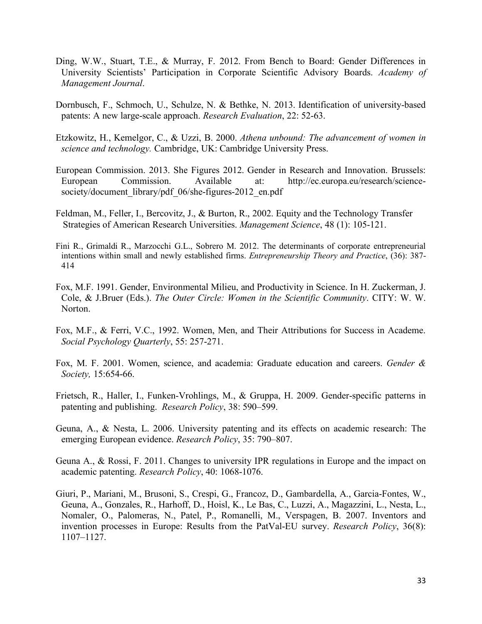- Ding, W.W., Stuart, T.E., & Murray, F. 2012. From Bench to Board: Gender Differences in University Scientists' Participation in Corporate Scientific Advisory Boards. *Academy of Management Journal*.
- Dornbusch, F., Schmoch, U., Schulze, N. & Bethke, N. 2013. Identification of university-based patents: A new large-scale approach. *Research Evaluation*, 22: 52-63.
- Etzkowitz, H., Kemelgor, C., & Uzzi, B. 2000. *Athena unbound: The advancement of women in science and technology.* Cambridge, UK: Cambridge University Press.
- European Commission. 2013. She Figures 2012. Gender in Research and Innovation. Brussels: European Commission. Available at: http://ec.europa.eu/research/sciencesociety/document\_library/pdf\_06/she-figures-2012\_en.pdf
- Feldman, M., Feller, I., Bercovitz, J., & Burton, R., 2002. Equity and the Technology Transfer Strategies of American Research Universities. *Management Science*, 48 (1): 105-121.
- Fini R., Grimaldi R., Marzocchi G.L., Sobrero M. 2012. The determinants of corporate entrepreneurial intentions within small and newly established firms. *Entrepreneurship Theory and Practice*, (36): 387- 414
- Fox, M.F. 1991. Gender, Environmental Milieu, and Productivity in Science. In H. Zuckerman, J. Cole, & J.Bruer (Eds.). *The Outer Circle: Women in the Scientific Community*. CITY: W. W. Norton.
- Fox, M.F., & Ferri, V.C., 1992. Women, Men, and Their Attributions for Success in Academe. *Social Psychology Quarterly*, 55: 257-271.
- Fox, M. F. 2001. Women, science, and academia: Graduate education and careers. *Gender & Society,* 15:654-66.
- Frietsch, R., Haller, I., Funken-Vrohlings, M., & Gruppa, H. 2009. Gender-specific patterns in patenting and publishing. *Research Policy*, 38: 590–599.
- Geuna, A., & Nesta, L. 2006. University patenting and its effects on academic research: The emerging European evidence. *Research Policy*, 35: 790–807.
- Geuna A., & Rossi, F. 2011. Changes to university IPR regulations in Europe and the impact on academic patenting. *Research Policy*, 40: 1068-1076.
- Giuri, P., Mariani, M., Brusoni, S., Crespi, G., Francoz, D., Gambardella, A., Garcia-Fontes, W., Geuna, A., Gonzales, R., Harhoff, D., Hoisl, K., Le Bas, C., Luzzi, A., Magazzini, L., Nesta, L., Nomaler, O., Palomeras, N., Patel, P., Romanelli, M., Verspagen, B. 2007. Inventors and invention processes in Europe: Results from the PatVal-EU survey. *Research Policy*, 36(8): 1107–1127.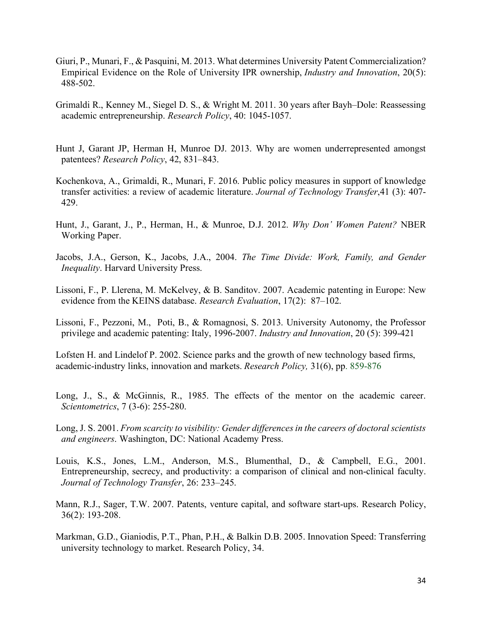- Giuri, P., Munari, F., & Pasquini, M. 2013. What determines University Patent Commercialization? Empirical Evidence on the Role of University IPR ownership, *Industry and Innovation*, 20(5): 488-502.
- Grimaldi R., Kenney M., Siegel D. S., & Wright M. 2011. 30 years after Bayh–Dole: Reassessing academic entrepreneurship. *Research Policy*, 40: 1045-1057.
- Hunt J, Garant JP, Herman H, Munroe DJ. 2013. Why are women underrepresented amongst patentees? *Research Policy*, 42, 831–843.
- Kochenkova, A., Grimaldi, R., Munari, F. 2016. Public policy measures in support of knowledge transfer activities: a review of academic literature. *Journal of Technology Transfer*,41 (3): 407- 429.
- Hunt, J., Garant, J., P., Herman, H., & Munroe, D.J. 2012. *Why Don' Women Patent?* NBER Working Paper.
- Jacobs, J.A., Gerson, K., Jacobs, J.A., 2004. *The Time Divide: Work, Family, and Gender Inequality*. Harvard University Press.
- Lissoni, F., P. Llerena, M. McKelvey, & B. Sanditov. 2007. Academic patenting in Europe: New evidence from the KEINS database. *Research Evaluation*, 17(2): 87–102.
- Lissoni, F., Pezzoni, M., Poti, B., & Romagnosi, S. 2013. University Autonomy, the Professor privilege and academic patenting: Italy, 1996-2007. *Industry and Innovation*, 20 (5): 399-421

Lofsten H. and Lindelof P. 2002. Science parks and the growth of new technology based firms, academic-industry links, innovation and markets. *Research Policy,* 31(6), pp. 859-876

- Long, J., S., & McGinnis, R., 1985. The effects of the mentor on the academic career. *Scientometrics*, 7 (3-6): 255-280.
- Long, J. S. 2001. *From scarcity to visibility: Gender differences in the careers of doctoral scientists and engineers*. Washington, DC: National Academy Press.
- Louis, K.S., Jones, L.M., Anderson, M.S., Blumenthal, D., & Campbell, E.G., 2001. Entrepreneurship, secrecy, and productivity: a comparison of clinical and non-clinical faculty. *Journal of Technology Transfer*, 26: 233–245.
- Mann, R.J., Sager, T.W. 2007. Patents, venture capital, and software start-ups. Research Policy, 36(2): 193-208.
- Markman, G.D., Gianiodis, P.T., Phan, P.H., & Balkin D.B. 2005. Innovation Speed: Transferring university technology to market. Research Policy, 34.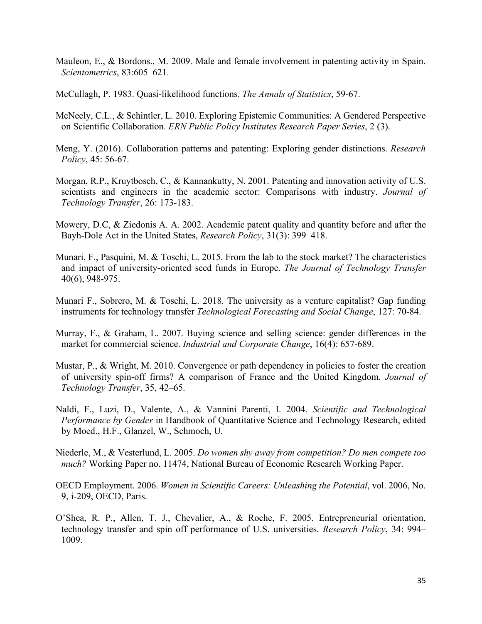- Mauleon, E., & Bordons., M. 2009. Male and female involvement in patenting activity in Spain. *Scientometrics*, 83:605–621.
- McCullagh, P. 1983. Quasi-likelihood functions. *The Annals of Statistics*, 59-67.
- McNeely, C.L., & Schintler, L. 2010. Exploring Epistemic Communities: A Gendered Perspective on Scientific Collaboration. *ERN Public Policy Institutes Research Paper Series*, 2 (3).
- Meng, Y. (2016). Collaboration patterns and patenting: Exploring gender distinctions. *Research Policy*, 45: 56-67.
- Morgan, R.P., Kruytbosch, C., & Kannankutty, N. 2001. Patenting and innovation activity of U.S. scientists and engineers in the academic sector: Comparisons with industry. *Journal of Technology Transfer*, 26: 173-183.
- Mowery, D.C, & Ziedonis A. A. 2002. Academic patent quality and quantity before and after the Bayh-Dole Act in the United States, *Research Policy*, 31(3): 399–418.
- Munari, F., Pasquini, M. & Toschi, L. 2015. From the lab to the stock market? The characteristics and impact of university-oriented seed funds in Europe. *The Journal of Technology Transfer* 40(6), 948-975.
- Munari F., Sobrero, M. & Toschi, L. 2018. The university as a venture capitalist? Gap funding instruments for technology transfer *Technological Forecasting and Social Change*, 127: 70-84.
- Murray, F., & Graham, L. 2007. Buying science and selling science: gender differences in the market for commercial science. *Industrial and Corporate Change*, 16(4): 657-689.
- Mustar, P., & Wright, M. 2010. Convergence or path dependency in policies to foster the creation of university spin-off firms? A comparison of France and the United Kingdom. *Journal of Technology Transfer*, 35, 42–65.
- Naldi, F., Luzi, D., Valente, A., & Vannini Parenti, I. 2004. *Scientific and Technological Performance by Gender* in Handbook of Quantitative Science and Technology Research, edited by Moed., H.F., Glanzel, W., Schmoch, U.
- Niederle, M., & Vesterlund, L. 2005. *Do women shy away from competition? Do men compete too much?* Working Paper no. 11474, National Bureau of Economic Research Working Paper.
- OECD Employment. 2006. *Women in Scientific Careers: Unleashing the Potential*, vol. 2006, No. 9, i-209, OECD, Paris.
- O'Shea, R. P., Allen, T. J., Chevalier, A., & Roche, F. 2005. Entrepreneurial orientation, technology transfer and spin off performance of U.S. universities. *Research Policy*, 34: 994– 1009.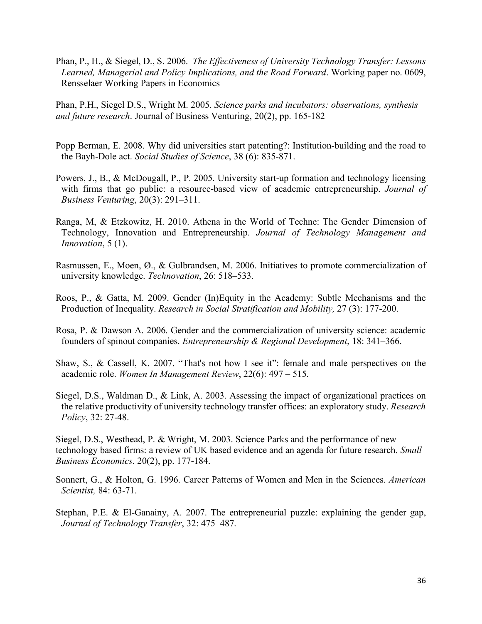Phan, P., H., & Siegel, D., S. 2006. *The Effectiveness of University Technology Transfer: Lessons Learned, Managerial and Policy Implications, and the Road Forward*. Working paper no. 0609, Rensselaer Working Papers in Economics

Phan, P.H., Siegel D.S., Wright M. 2005. *Science parks and incubators: observations, synthesis and future research*. Journal of Business Venturing, 20(2), pp. 165-182

- Popp Berman, E. 2008. Why did universities start patenting?: Institution-building and the road to the Bayh-Dole act. *Social Studies of Science*, 38 (6): 835-871.
- Powers, J., B., & McDougall, P., P. 2005. University start-up formation and technology licensing with firms that go public: a resource-based view of academic entrepreneurship. *Journal of Business Venturing*, 20(3): 291–311.
- Ranga, M, & Etzkowitz, H. 2010. Athena in the World of Techne: The Gender Dimension of Technology, Innovation and Entrepreneurship. *Journal of Technology Management and Innovation*, 5 (1).
- Rasmussen, E., Moen, Ø., & Gulbrandsen, M. 2006. Initiatives to promote commercialization of university knowledge. *Technovation*, 26: 518–533.
- Roos, P., & Gatta, M. 2009. Gender (In)Equity in the Academy: Subtle Mechanisms and the Production of Inequality. *Research in Social Stratification and Mobility,* 27 (3): 177-200.
- Rosa, P. & Dawson A. 2006. Gender and the commercialization of university science: academic founders of spinout companies. *Entrepreneurship & Regional Development*, 18: 341–366.
- Shaw, S., & Cassell, K. 2007. "That's not how I see it": female and male perspectives on the academic role. *Women In Management Review*, 22(6): 497 – 515.
- Siegel, D.S., Waldman D., & Link, A. 2003. Assessing the impact of organizational practices on the relative productivity of university technology transfer offices: an exploratory study. *Research Policy*, 32: 27-48.

Siegel, D.S., Westhead, P. & Wright, M. 2003. Science Parks and the performance of new technology based firms: a review of UK based evidence and an agenda for future research. *Small Business Economics*. 20(2), pp. 177-184.

- Sonnert, G., & Holton, G. 1996. Career Patterns of Women and Men in the Sciences. *American Scientist,* 84: 63-71.
- Stephan, P.E. & El-Ganainy, A. 2007. The entrepreneurial puzzle: explaining the gender gap, *Journal of Technology Transfer*, 32: 475–487.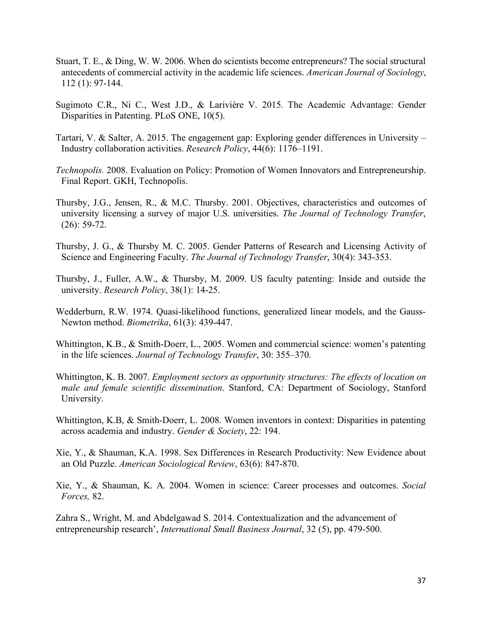- Stuart, T. E., & Ding, W. W. 2006. When do scientists become entrepreneurs? The social structural antecedents of commercial activity in the academic life sciences. *American Journal of Sociology*, 112 (1): 97-144.
- Sugimoto C.R., Ni C., West J.D., & Larivière V. 2015. The Academic Advantage: Gender Disparities in Patenting. PLoS ONE, 10(5).
- Tartari, V. & Salter, A. 2015. The engagement gap: Exploring gender differences in University Industry collaboration activities. *Research Policy*, 44(6): 1176–1191.
- *Technopolis.* 2008. Evaluation on Policy: Promotion of Women Innovators and Entrepreneurship. Final Report. GKH, Technopolis.
- Thursby, J.G., Jensen, R., & M.C. Thursby. 2001. Objectives, characteristics and outcomes of university licensing a survey of major U.S. universities. *The Journal of Technology Transfer*, (26): 59-72.
- Thursby, J. G., & Thursby M. C. 2005. Gender Patterns of Research and Licensing Activity of Science and Engineering Faculty. *The Journal of Technology Transfer*, 30(4): 343-353.
- Thursby, J., Fuller, A.W., & Thursby, M. 2009. US faculty patenting: Inside and outside the university. *Research Policy*, 38(1): 14-25.
- Wedderburn, R.W. 1974. Quasi-likelihood functions, generalized linear models, and the Gauss-Newton method. *Biometrika*, 61(3): 439-447.
- Whittington, K.B., & Smith-Doerr, L., 2005. Women and commercial science: women's patenting in the life sciences. *Journal of Technology Transfer*, 30: 355–370.
- Whittington, K. B. 2007. *Employment sectors as opportunity structures: The effects of location on male and female scientific dissemination*. Stanford, CA: Department of Sociology, Stanford University.
- Whittington, K.B, & Smith-Doerr, L. 2008. Women inventors in context: Disparities in patenting across academia and industry. *Gender & Society*, 22: 194.
- Xie, Y., & Shauman, K.A. 1998. Sex Differences in Research Productivity: New Evidence about an Old Puzzle. *American Sociological Review*, 63(6): 847-870.
- Xie, Y., & Shauman, K. A. 2004. Women in science: Career processes and outcomes. *Social Forces,* 82.

Zahra S., Wright, M. and Abdelgawad S. 2014. Contextualization and the advancement of entrepreneurship research', *International Small Business Journal*, 32 (5), pp. 479-500.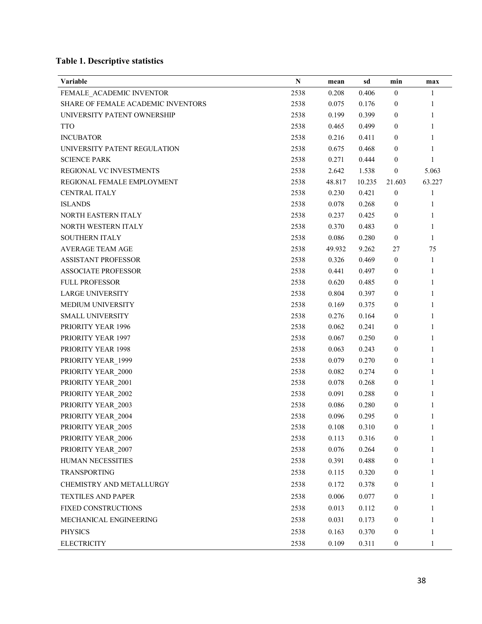**Table 1. Descriptive statistics** 

| 2538<br>0.406<br>$\boldsymbol{0}$<br>FEMALE_ACADEMIC INVENTOR<br>0.208<br>1<br>SHARE OF FEMALE ACADEMIC INVENTORS<br>2538<br>0.075<br>0.176<br>$\boldsymbol{0}$<br>1<br>UNIVERSITY PATENT OWNERSHIP<br>2538<br>0.199<br>0.399<br>$\boldsymbol{0}$<br>1<br><b>TTO</b><br>$\boldsymbol{0}$<br>2538<br>0.465<br>0.499<br>1 |  |
|-------------------------------------------------------------------------------------------------------------------------------------------------------------------------------------------------------------------------------------------------------------------------------------------------------------------------|--|
|                                                                                                                                                                                                                                                                                                                         |  |
|                                                                                                                                                                                                                                                                                                                         |  |
|                                                                                                                                                                                                                                                                                                                         |  |
|                                                                                                                                                                                                                                                                                                                         |  |
| <b>INCUBATOR</b><br>2538<br>0.216<br>$\boldsymbol{0}$<br>0.411<br>1                                                                                                                                                                                                                                                     |  |
| 2538<br>0.675<br>UNIVERSITY PATENT REGULATION<br>0.468<br>$\boldsymbol{0}$<br>1                                                                                                                                                                                                                                         |  |
| $\boldsymbol{0}$<br><b>SCIENCE PARK</b><br>2538<br>0.271<br>0.444<br>1                                                                                                                                                                                                                                                  |  |
| REGIONAL VC INVESTMENTS<br>2538<br>$\boldsymbol{0}$<br>2.642<br>1.538<br>5.063                                                                                                                                                                                                                                          |  |
| 2538<br>REGIONAL FEMALE EMPLOYMENT<br>48.817<br>10.235<br>21.603<br>63.227                                                                                                                                                                                                                                              |  |
| 2538<br>0.230<br>0.421<br>$\boldsymbol{0}$<br><b>CENTRAL ITALY</b><br>1                                                                                                                                                                                                                                                 |  |
| 2538<br>0.078<br>0.268<br><b>ISLANDS</b><br>$\boldsymbol{0}$<br>1                                                                                                                                                                                                                                                       |  |
| 2538<br>NORTH EASTERN ITALY<br>0.237<br>0.425<br>$\boldsymbol{0}$<br>1                                                                                                                                                                                                                                                  |  |
| 2538<br>0.370<br>0.483<br>NORTH WESTERN ITALY<br>$\boldsymbol{0}$<br>1                                                                                                                                                                                                                                                  |  |
| <b>SOUTHERN ITALY</b><br>2538<br>0.086<br>$\boldsymbol{0}$<br>0.280<br>1                                                                                                                                                                                                                                                |  |
| 75<br><b>AVERAGE TEAM AGE</b><br>2538<br>49.932<br>9.262<br>27                                                                                                                                                                                                                                                          |  |
| 2538<br>0.469<br>ASSISTANT PROFESSOR<br>0.326<br>$\boldsymbol{0}$<br>1                                                                                                                                                                                                                                                  |  |
| 2538<br><b>ASSOCIATE PROFESSOR</b><br>0.441<br>0.497<br>$\boldsymbol{0}$<br>1                                                                                                                                                                                                                                           |  |
| 2538<br><b>FULL PROFESSOR</b><br>0.620<br>0.485<br>$\boldsymbol{0}$<br>1                                                                                                                                                                                                                                                |  |
| <b>LARGE UNIVERSITY</b><br>2538<br>0.804<br>0.397<br>$\boldsymbol{0}$<br>1                                                                                                                                                                                                                                              |  |
| 2538<br>MEDIUM UNIVERSITY<br>0.169<br>0.375<br>$\boldsymbol{0}$<br>1                                                                                                                                                                                                                                                    |  |
| $\boldsymbol{0}$<br>SMALL UNIVERSITY<br>2538<br>0.276<br>0.164<br>1                                                                                                                                                                                                                                                     |  |
| 2538<br>PRIORITY YEAR 1996<br>0.062<br>0.241<br>$\boldsymbol{0}$<br>1                                                                                                                                                                                                                                                   |  |
| 2538<br>PRIORITY YEAR 1997<br>0.067<br>0.250<br>$\boldsymbol{0}$<br>1                                                                                                                                                                                                                                                   |  |
| 2538<br>PRIORITY YEAR 1998<br>0.063<br>0.243<br>$\boldsymbol{0}$<br>1                                                                                                                                                                                                                                                   |  |
| PRIORITY YEAR 1999<br>0.079<br>2538<br>0.270<br>$\boldsymbol{0}$<br>1                                                                                                                                                                                                                                                   |  |
| 2538<br>$\boldsymbol{0}$<br>PRIORITY YEAR_2000<br>0.082<br>0.274<br>1                                                                                                                                                                                                                                                   |  |
| 2538<br>0.078<br>$\boldsymbol{0}$<br>PRIORITY YEAR 2001<br>0.268<br>1                                                                                                                                                                                                                                                   |  |
| PRIORITY YEAR 2002<br>2538<br>0.091<br>0.288<br>$\boldsymbol{0}$<br>1                                                                                                                                                                                                                                                   |  |
| $\boldsymbol{0}$<br>PRIORITY YEAR 2003<br>2538<br>0.086<br>0.280<br>1                                                                                                                                                                                                                                                   |  |
| 2538<br>0.096<br>PRIORITY YEAR 2004<br>0.295<br>$\boldsymbol{0}$<br>1                                                                                                                                                                                                                                                   |  |
| 2538<br>PRIORITY YEAR_2005<br>0.108<br>0.310<br>$\overline{0}$                                                                                                                                                                                                                                                          |  |
| PRIORITY YEAR 2006<br>2538<br>0.113<br>0.316<br>0<br>1                                                                                                                                                                                                                                                                  |  |
| PRIORITY YEAR_2007<br>2538<br>0.076<br>0.264<br>$\boldsymbol{0}$                                                                                                                                                                                                                                                        |  |
| 2538<br>HUMAN NECESSITIES<br>0.391<br>0.488<br>$\boldsymbol{0}$                                                                                                                                                                                                                                                         |  |
| <b>TRANSPORTING</b><br>2538<br>0.115<br>0.320<br>$\boldsymbol{0}$<br>1                                                                                                                                                                                                                                                  |  |
| CHEMISTRY AND METALLURGY<br>2538<br>0.172<br>0.378<br>$\boldsymbol{0}$<br>1                                                                                                                                                                                                                                             |  |
| <b>TEXTILES AND PAPER</b><br>2538<br>0.006<br>0.077<br>$\boldsymbol{0}$<br>1                                                                                                                                                                                                                                            |  |
| <b>FIXED CONSTRUCTIONS</b><br>2538<br>0.013<br>0.112<br>$\boldsymbol{0}$<br>1                                                                                                                                                                                                                                           |  |
| MECHANICAL ENGINEERING<br>2538<br>0.031<br>0.173<br>$\boldsymbol{0}$<br>$\mathbf{I}$                                                                                                                                                                                                                                    |  |
| <b>PHYSICS</b><br>2538<br>0.163<br>0.370<br>$\boldsymbol{0}$<br>1                                                                                                                                                                                                                                                       |  |
| <b>ELECTRICITY</b><br>2538<br>0.109<br>0.311<br>$\boldsymbol{0}$<br>1                                                                                                                                                                                                                                                   |  |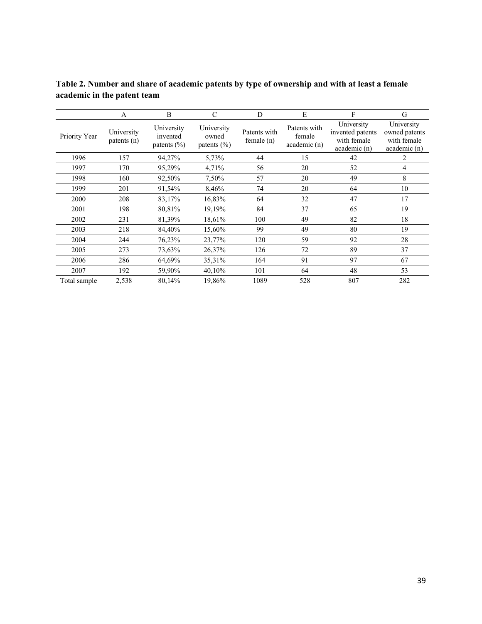|               | A                         | B                                         | $\mathcal{C}$                          | D                          | E                                      | $\mathbf{F}$                                                 | G                                                         |
|---------------|---------------------------|-------------------------------------------|----------------------------------------|----------------------------|----------------------------------------|--------------------------------------------------------------|-----------------------------------------------------------|
| Priority Year | University<br>patents (n) | University<br>invented<br>patents $(\% )$ | University<br>owned<br>patents $(\% )$ | Patents with<br>female (n) | Patents with<br>female<br>academic (n) | University<br>invented patents<br>with female<br>academic(n) | University<br>owned patents<br>with female<br>academic(n) |
| 1996          | 157                       | 94,27%                                    | 5,73%                                  | 44                         | 15                                     | 42                                                           | 2                                                         |
| 1997          | 170                       | 95,29%                                    | 4,71%                                  | 56                         | 20                                     | 52                                                           | $\overline{4}$                                            |
| 1998          | 160                       | 92,50%                                    | 7,50%                                  | 57                         | 20                                     | 49                                                           | 8                                                         |
| 1999          | 201                       | 91,54%                                    | 8,46%                                  | 74                         | 20                                     | 64                                                           | 10                                                        |
| 2000          | 208                       | 83,17%                                    | 16,83%                                 | 64                         | 32                                     | 47                                                           | 17                                                        |
| 2001          | 198                       | 80,81%                                    | 19,19%                                 | 84                         | 37                                     | 65                                                           | 19                                                        |
| 2002          | 231                       | 81,39%                                    | 18,61%                                 | 100                        | 49                                     | 82                                                           | 18                                                        |
| 2003          | 218                       | 84,40%                                    | 15,60%                                 | 99                         | 49                                     | 80                                                           | 19                                                        |
| 2004          | 244                       | 76,23%                                    | 23,77%                                 | 120                        | 59                                     | 92                                                           | 28                                                        |
| 2005          | 273                       | 73,63%                                    | 26,37%                                 | 126                        | 72                                     | 89                                                           | 37                                                        |
| 2006          | 286                       | 64,69%                                    | 35,31%                                 | 164                        | 91                                     | 97                                                           | 67                                                        |
| 2007          | 192                       | 59,90%                                    | 40,10%                                 | 101                        | 64                                     | 48                                                           | 53                                                        |
| Total sample  | 2,538                     | 80,14%                                    | 19,86%                                 | 1089                       | 528                                    | 807                                                          | 282                                                       |

**Table 2. Number and share of academic patents by type of ownership and with at least a female academic in the patent team**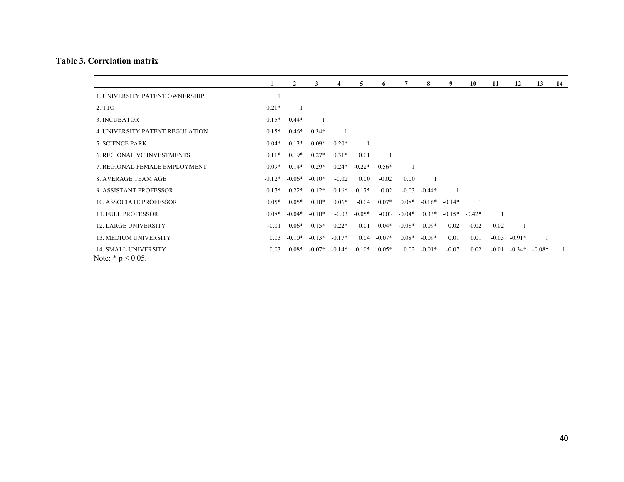# **Table 3. Correlation matrix**

|                                   |          | $\mathbf{2}$ | 3        | 4        | 5        | 6        |          | 8        | 9        | 10       | 11      | 12       | 13       | 14 |
|-----------------------------------|----------|--------------|----------|----------|----------|----------|----------|----------|----------|----------|---------|----------|----------|----|
| 1. UNIVERSITY PATENT OWNERSHIP    |          |              |          |          |          |          |          |          |          |          |         |          |          |    |
| 2. TTO                            | $0.21*$  |              |          |          |          |          |          |          |          |          |         |          |          |    |
| 3. INCUBATOR                      | $0.15*$  | $0.44*$      |          |          |          |          |          |          |          |          |         |          |          |    |
| 4. UNIVERSITY PATENT REGULATION   | $0.15*$  | $0.46*$      | $0.34*$  |          |          |          |          |          |          |          |         |          |          |    |
| <b>5. SCIENCE PARK</b>            | $0.04*$  | $0.13*$      | $0.09*$  | $0.20*$  |          |          |          |          |          |          |         |          |          |    |
| <b>6. REGIONAL VC INVESTMENTS</b> | $0.11*$  | $0.19*$      | $0.27*$  | $0.31*$  | 0.01     |          |          |          |          |          |         |          |          |    |
| 7. REGIONAL FEMALE EMPLOYMENT     | $0.09*$  | $0.14*$      | $0.29*$  | $0.24*$  | $-0.22*$ | $0.56*$  |          |          |          |          |         |          |          |    |
| 8. AVERAGE TEAM AGE               | $-0.12*$ | $-0.06*$     | $-0.10*$ | $-0.02$  | 0.00     | $-0.02$  | 0.00     |          |          |          |         |          |          |    |
| 9. ASSISTANT PROFESSOR            | $0.17*$  | $0.22*$      | $0.12*$  | $0.16*$  | $0.17*$  | 0.02     | $-0.03$  | $-0.44*$ |          |          |         |          |          |    |
| <b>10. ASSOCIATE PROFESSOR</b>    | $0.05*$  | $0.05*$      | $0.10*$  | $0.06*$  | $-0.04$  | $0.07*$  | $0.08*$  | $-0.16*$ | $-0.14*$ |          |         |          |          |    |
| <b>11. FULL PROFESSOR</b>         | $0.08*$  | $-0.04*$     | $-0.10*$ | $-0.03$  | $-0.05*$ | $-0.03$  | $-0.04*$ | $0.33*$  | $-0.15*$ | $-0.42*$ |         |          |          |    |
| <b>12. LARGE UNIVERSITY</b>       | $-0.01$  | $0.06*$      | $0.15*$  | $0.22*$  | 0.01     | $0.04*$  | $-0.08*$ | $0.09*$  | 0.02     | $-0.02$  | 0.02    |          |          |    |
| 13. MEDIUM UNIVERSITY             | 0.03     | $-0.10*$     | $-0.13*$ | $-0.17*$ | 0.04     | $-0.07*$ | $0.08*$  | $-0.09*$ | 0.01     | 0.01     | $-0.03$ | $-0.91*$ |          |    |
| <b>14. SMALL UNIVERSITY</b>       | 0.03     | $0.08*$      | $-0.07*$ | $-0.14*$ | $0.10*$  | $0.05*$  | 0.02     | $-0.01*$ | $-0.07$  | 0.02     | $-0.01$ | $-0.34*$ | $-0.08*$ |    |
| Note: $* p < 0.05$ .              |          |              |          |          |          |          |          |          |          |          |         |          |          |    |

40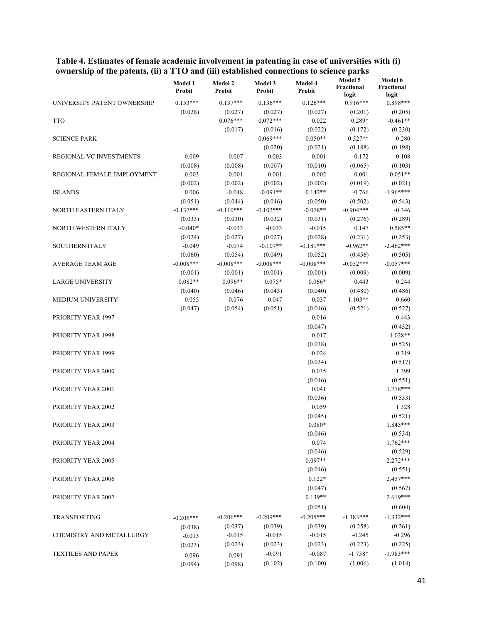| <u></u><br>$\sigma$ or the patents, (ii) a 1 1 $\sigma$ and (iii) established connections to science parties | Model 1<br>Probit | Model 2<br>Probit | Model 3<br>Probit | Model 4<br>Probit | Model 5<br>Fractional<br>logit | Model $6$<br>Fractional<br>logit |
|--------------------------------------------------------------------------------------------------------------|-------------------|-------------------|-------------------|-------------------|--------------------------------|----------------------------------|
| UNIVERSITY PATENT OWNERSHIP                                                                                  | $0.153***$        | $0.137***$        | $0.136***$        | $0.126***$        | $0.916***$                     | 0.898***                         |
|                                                                                                              | (0.028)           | (0.027)           | (0.027)           | (0.027)           | (0.201)                        | (0.205)                          |
| <b>TTO</b>                                                                                                   |                   | $0.076***$        | $0.072***$        | 0.022             | 0.289*                         | $-0.461**$                       |
|                                                                                                              |                   | (0.017)           | (0.016)           | (0.022)           | (0.172)                        | (0.230)                          |
| <b>SCIENCE PARK</b>                                                                                          |                   |                   | $0.069***$        | $0.050**$         | $0.527**$                      | 0.280                            |
|                                                                                                              |                   |                   | (0.020)           | (0.021)           | (0.188)                        | (0.198)                          |
| REGIONAL VC INVESTMENTS                                                                                      | 0.009             | 0.007             | 0.003             | 0.001             | 0.172                          | 0.108                            |
|                                                                                                              | (0.008)           | (0.008)           | (0.007)           | (0.010)           | (0.065)                        | (0.103)                          |
| REGIONAL FEMALE EMPLOYMENT                                                                                   | 0.003             | 0.001             | 0.001             | $-0.002$          | $-0.001$                       | $-0.051**$                       |
|                                                                                                              | (0.002)           | (0.002)           | (0.002)           | (0.002)           | (0.019)                        | (0.021)                          |
| <b>ISLANDS</b>                                                                                               | 0.006             | $-0.048$          | $-0.091**$        | $-0.142**$        | $-0.766$                       | $-1.965***$                      |
|                                                                                                              | (0.051)           | (0.044)           | (0.046)           | (0.050)           | (0.502)                        | (0.543)                          |
| <b>NORTH EASTERN ITALY</b>                                                                                   | $-0.137***$       | $-0.110***$       | $-0.102***$       | $-0.078**$        | $-0.904***$                    | $-0.346$                         |
|                                                                                                              | (0.033)           | (0.030)           | (0.032)           | (0.031)           | (0.276)                        | (0.289)                          |
| NORTH WESTERN ITALY                                                                                          | $-0.040*$         | $-0.033$          | $-0.033$          | $-0.015$          | 0.147                          | $0.585**$                        |
|                                                                                                              | (0.024)           | (0.027)           | (0.027)           | (0.028)           | (0.231)                        | (0.253)                          |
| <b>SOUTHERN ITALY</b>                                                                                        | $-0.049$          | $-0.074$          | $-0.107**$        | $-0.181***$       | $-0.962**$                     | $-2.462***$                      |
|                                                                                                              | (0.060)           | (0.054)           | (0.049)           | (0.052)           | (0.456)                        | (0.505)                          |
| <b>AVERAGE TEAM AGE</b>                                                                                      | $-0.008***$       | $-0.008***$       | $-0.008***$       | $-0.008***$       | $-0.052***$                    | $-0.057***$                      |
|                                                                                                              | (0.001)           | (0.001)           | (0.001)           | (0.001)           | (0.009)                        | (0.009)                          |
| <b>LARGE UNIVERSITY</b>                                                                                      | $0.082**$         | $0.096**$         | $0.075*$          | $0.066*$          | 0.443                          | 0.244                            |
|                                                                                                              | (0.040)           | (0.046)           | (0.043)           | (0.040)           | (0.480)                        | (0.486)                          |
| <b>MEDIUM UNIVERSITY</b>                                                                                     | 0.055             | 0.076             | 0.047             | 0.037             | $1.103**$                      | 0.660                            |
|                                                                                                              | (0.047)           | (0.054)           | (0.051)           | (0.046)           | (0.521)                        | (0.527)                          |
| PRIORITY YEAR 1997                                                                                           |                   |                   |                   | 0.016             |                                | 0.443                            |
|                                                                                                              |                   |                   |                   | (0.047)           |                                | (0.432)                          |
| PRIORITY YEAR 1998                                                                                           |                   |                   |                   | 0.017             |                                | 1.028**                          |
|                                                                                                              |                   |                   |                   | (0.038)           |                                | (0.525)                          |
| PRIORITY YEAR 1999                                                                                           |                   |                   |                   | $-0.024$          |                                | 0.319                            |
|                                                                                                              |                   |                   |                   | (0.034)           |                                | (0.517)                          |
| PRIORITY YEAR 2000                                                                                           |                   |                   |                   | 0.035             |                                | 1.399                            |
|                                                                                                              |                   |                   |                   | (0.046)           |                                | (0.551)                          |
| PRIORITY YEAR 2001                                                                                           |                   |                   |                   | 0.041             |                                | 1.778***                         |
|                                                                                                              |                   |                   |                   | (0.036)           |                                | (0.533)                          |
| PRIORITY YEAR 2002                                                                                           |                   |                   |                   | 0.059             |                                | 1.328                            |
|                                                                                                              |                   |                   |                   | (0.045)           |                                | (0.521)                          |
| PRIORITY YEAR 2003                                                                                           |                   |                   |                   | $0.080*$          |                                | 1.845***                         |
|                                                                                                              |                   |                   |                   | (0.046)           |                                | (0.534)                          |
| PRIORITY YEAR 2004                                                                                           |                   |                   |                   | 0.074             |                                | $1.762***$                       |
|                                                                                                              |                   |                   |                   | (0.046)           |                                | (0.529)                          |
| PRIORITY YEAR 2005                                                                                           |                   |                   |                   | 0.097**           |                                | $2.272***$                       |
|                                                                                                              |                   |                   |                   | (0.046)           |                                | (0.551)                          |
| PRIORITY YEAR 2006                                                                                           |                   |                   |                   | $0.122*$          |                                | $2.457***$                       |
|                                                                                                              |                   |                   |                   | (0.047)           |                                | (0.567)                          |
| PRIORITY YEAR 2007                                                                                           |                   |                   |                   | $0.139**$         |                                | 2.619***                         |
|                                                                                                              |                   |                   |                   | (0.051)           |                                | (0.604)                          |
| <b>TRANSPORTING</b>                                                                                          | $-0.206***$       | $-0.206***$       | $-0.209***$       | $-0.205***$       | $-1.383***$                    | $-1.332***$                      |
|                                                                                                              | (0.038)           | (0.037)           | (0.039)           | (0.039)           | (0.258)                        | (0.261)                          |
| <b>CHEMISTRY AND METALLURGY</b>                                                                              | $-0.013$          | $-0.015$          | $-0.015$          | $-0.015$          | $-0.245$                       | $-0.296$                         |
|                                                                                                              | (0.023)           | (0.023)           | (0.023)           | (0.023)           | (0.223)                        | (0.225)                          |
| <b>TEXTILES AND PAPER</b>                                                                                    | $-0.096$          | $-0.091$          | $-0.091$          | $-0.087$          | $-1.758*$                      | $-1.983***$                      |
|                                                                                                              | (0.094)           | (0.098)           | (0.102)           | (0.100)           | (1.006)                        | (1.014)                          |

#### **Table 4. Estimates of female academic involvement in patenting in case of universities with (i) ownership of the patents, (ii) a TTO and (iii) established connections to science parks**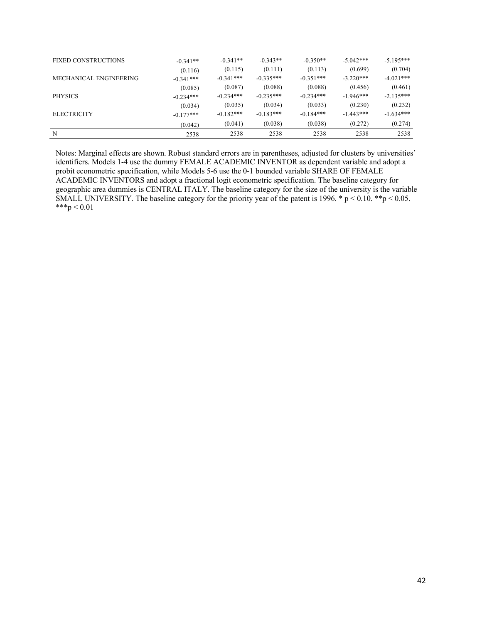| <b>FIXED CONSTRUCTIONS</b> | $-0.341**$  | $-0.341**$  | $-0.343**$  | $-0.350**$  | $-5.042***$ | $-5.195***$ |
|----------------------------|-------------|-------------|-------------|-------------|-------------|-------------|
|                            | (0.116)     | (0.115)     | (0.111)     | (0.113)     | (0.699)     | (0.704)     |
| MECHANICAL ENGINEERING     | $-0.341***$ | $-0.341***$ | $-0.335***$ | $-0.351***$ | $-3.220***$ | $-4.021***$ |
|                            | (0.085)     | (0.087)     | (0.088)     | (0.088)     | (0.456)     | (0.461)     |
| <b>PHYSICS</b>             | $-0.234***$ | $-0.234***$ | $-0.235***$ | $-0.234***$ | $-1.946***$ | $-2.135***$ |
|                            | (0.034)     | (0.035)     | (0.034)     | (0.033)     | (0.230)     | (0.232)     |
| <b>ELECTRICITY</b>         | $-0.177***$ | $-0.182***$ | $-0.183***$ | $-0.184***$ | $-1.443***$ | $-1.634***$ |
|                            | (0.042)     | (0.041)     | (0.038)     | (0.038)     | (0.272)     | (0.274)     |
| N                          | 2538        | 2538        | 2538        | 2538        | 2538        | 2538        |

Notes: Marginal effects are shown. Robust standard errors are in parentheses, adjusted for clusters by universities' identifiers. Models 1-4 use the dummy FEMALE ACADEMIC INVENTOR as dependent variable and adopt a probit econometric specification, while Models 5-6 use the 0-1 bounded variable SHARE OF FEMALE ACADEMIC INVENTORS and adopt a fractional logit econometric specification. The baseline category for geographic area dummies is CENTRAL ITALY. The baseline category for the size of the university is the variable SMALL UNIVERSITY. The baseline category for the priority year of the patent is 1996. \*  $p < 0.10$ . \*\* $p < 0.05$ . \*\*\*p  $< 0.01$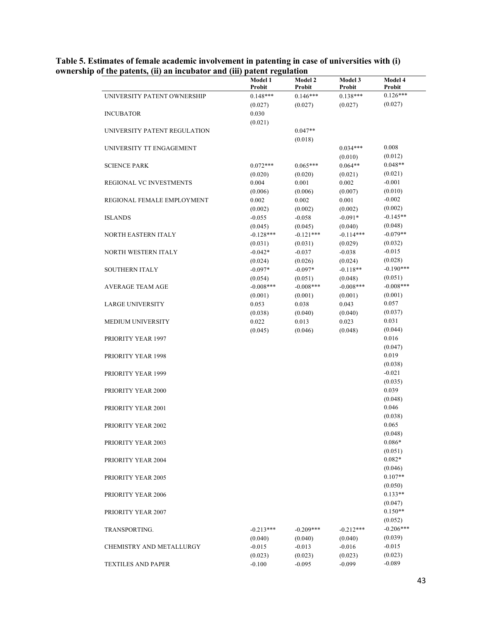| Model 1<br>Probit | Model 2<br>Probit                                                                                                                                                                                                             | Probit                                                                                                                                                                                                                                   | Model 4<br>Probit                                                                                                                                                                                                                                                             |
|-------------------|-------------------------------------------------------------------------------------------------------------------------------------------------------------------------------------------------------------------------------|------------------------------------------------------------------------------------------------------------------------------------------------------------------------------------------------------------------------------------------|-------------------------------------------------------------------------------------------------------------------------------------------------------------------------------------------------------------------------------------------------------------------------------|
| $0.148***$        | $0.146***$                                                                                                                                                                                                                    | $0.138***$                                                                                                                                                                                                                               | $0.126***$                                                                                                                                                                                                                                                                    |
| (0.027)           | (0.027)                                                                                                                                                                                                                       | (0.027)                                                                                                                                                                                                                                  | (0.027)                                                                                                                                                                                                                                                                       |
| 0.030             |                                                                                                                                                                                                                               |                                                                                                                                                                                                                                          |                                                                                                                                                                                                                                                                               |
| (0.021)           |                                                                                                                                                                                                                               |                                                                                                                                                                                                                                          |                                                                                                                                                                                                                                                                               |
|                   | $0.047**$                                                                                                                                                                                                                     |                                                                                                                                                                                                                                          |                                                                                                                                                                                                                                                                               |
|                   | (0.018)                                                                                                                                                                                                                       |                                                                                                                                                                                                                                          |                                                                                                                                                                                                                                                                               |
|                   |                                                                                                                                                                                                                               |                                                                                                                                                                                                                                          | 0.008                                                                                                                                                                                                                                                                         |
|                   |                                                                                                                                                                                                                               |                                                                                                                                                                                                                                          | (0.012)                                                                                                                                                                                                                                                                       |
|                   |                                                                                                                                                                                                                               |                                                                                                                                                                                                                                          | $0.048**$                                                                                                                                                                                                                                                                     |
|                   |                                                                                                                                                                                                                               |                                                                                                                                                                                                                                          | (0.021)                                                                                                                                                                                                                                                                       |
|                   |                                                                                                                                                                                                                               |                                                                                                                                                                                                                                          | $-0.001$                                                                                                                                                                                                                                                                      |
|                   |                                                                                                                                                                                                                               |                                                                                                                                                                                                                                          | (0.010)<br>$-0.002$                                                                                                                                                                                                                                                           |
|                   |                                                                                                                                                                                                                               |                                                                                                                                                                                                                                          | (0.002)                                                                                                                                                                                                                                                                       |
|                   |                                                                                                                                                                                                                               |                                                                                                                                                                                                                                          | $-0.145**$                                                                                                                                                                                                                                                                    |
|                   |                                                                                                                                                                                                                               |                                                                                                                                                                                                                                          | (0.048)                                                                                                                                                                                                                                                                       |
|                   |                                                                                                                                                                                                                               |                                                                                                                                                                                                                                          | $-0.079**$                                                                                                                                                                                                                                                                    |
|                   |                                                                                                                                                                                                                               |                                                                                                                                                                                                                                          | (0.032)                                                                                                                                                                                                                                                                       |
|                   |                                                                                                                                                                                                                               |                                                                                                                                                                                                                                          | $-0.015$                                                                                                                                                                                                                                                                      |
|                   |                                                                                                                                                                                                                               |                                                                                                                                                                                                                                          | (0.028)                                                                                                                                                                                                                                                                       |
|                   |                                                                                                                                                                                                                               |                                                                                                                                                                                                                                          | $-0.190***$                                                                                                                                                                                                                                                                   |
|                   |                                                                                                                                                                                                                               |                                                                                                                                                                                                                                          | (0.051)                                                                                                                                                                                                                                                                       |
|                   |                                                                                                                                                                                                                               |                                                                                                                                                                                                                                          | $-0.008***$                                                                                                                                                                                                                                                                   |
|                   |                                                                                                                                                                                                                               |                                                                                                                                                                                                                                          | (0.001)                                                                                                                                                                                                                                                                       |
| 0.053             | 0.038                                                                                                                                                                                                                         | 0.043                                                                                                                                                                                                                                    | 0.057                                                                                                                                                                                                                                                                         |
| (0.038)           | (0.040)                                                                                                                                                                                                                       | (0.040)                                                                                                                                                                                                                                  | (0.037)                                                                                                                                                                                                                                                                       |
| 0.022             | 0.013                                                                                                                                                                                                                         | 0.023                                                                                                                                                                                                                                    | 0.031                                                                                                                                                                                                                                                                         |
| (0.045)           | (0.046)                                                                                                                                                                                                                       | (0.048)                                                                                                                                                                                                                                  | (0.044)                                                                                                                                                                                                                                                                       |
|                   |                                                                                                                                                                                                                               |                                                                                                                                                                                                                                          | 0.016                                                                                                                                                                                                                                                                         |
|                   |                                                                                                                                                                                                                               |                                                                                                                                                                                                                                          | (0.047)                                                                                                                                                                                                                                                                       |
|                   |                                                                                                                                                                                                                               |                                                                                                                                                                                                                                          | 0.019                                                                                                                                                                                                                                                                         |
|                   |                                                                                                                                                                                                                               |                                                                                                                                                                                                                                          | (0.038)                                                                                                                                                                                                                                                                       |
|                   |                                                                                                                                                                                                                               |                                                                                                                                                                                                                                          | $-0.021$                                                                                                                                                                                                                                                                      |
|                   |                                                                                                                                                                                                                               |                                                                                                                                                                                                                                          | (0.035)                                                                                                                                                                                                                                                                       |
|                   |                                                                                                                                                                                                                               |                                                                                                                                                                                                                                          | 0.039                                                                                                                                                                                                                                                                         |
|                   |                                                                                                                                                                                                                               |                                                                                                                                                                                                                                          | (0.048)                                                                                                                                                                                                                                                                       |
|                   |                                                                                                                                                                                                                               |                                                                                                                                                                                                                                          | 0.046                                                                                                                                                                                                                                                                         |
|                   |                                                                                                                                                                                                                               |                                                                                                                                                                                                                                          | (0.038)                                                                                                                                                                                                                                                                       |
|                   |                                                                                                                                                                                                                               |                                                                                                                                                                                                                                          | 0.065                                                                                                                                                                                                                                                                         |
|                   |                                                                                                                                                                                                                               |                                                                                                                                                                                                                                          | (0.048)<br>$0.086*$                                                                                                                                                                                                                                                           |
|                   |                                                                                                                                                                                                                               |                                                                                                                                                                                                                                          | (0.051)                                                                                                                                                                                                                                                                       |
|                   |                                                                                                                                                                                                                               |                                                                                                                                                                                                                                          | $0.082*$                                                                                                                                                                                                                                                                      |
|                   |                                                                                                                                                                                                                               |                                                                                                                                                                                                                                          | (0.046)                                                                                                                                                                                                                                                                       |
|                   |                                                                                                                                                                                                                               |                                                                                                                                                                                                                                          | $0.107**$                                                                                                                                                                                                                                                                     |
|                   |                                                                                                                                                                                                                               |                                                                                                                                                                                                                                          | (0.050)                                                                                                                                                                                                                                                                       |
|                   |                                                                                                                                                                                                                               |                                                                                                                                                                                                                                          | $0.133**$                                                                                                                                                                                                                                                                     |
|                   |                                                                                                                                                                                                                               |                                                                                                                                                                                                                                          | (0.047)                                                                                                                                                                                                                                                                       |
|                   |                                                                                                                                                                                                                               |                                                                                                                                                                                                                                          | $0.150**$                                                                                                                                                                                                                                                                     |
|                   |                                                                                                                                                                                                                               |                                                                                                                                                                                                                                          | (0.052)                                                                                                                                                                                                                                                                       |
|                   |                                                                                                                                                                                                                               |                                                                                                                                                                                                                                          | $-0.206***$                                                                                                                                                                                                                                                                   |
|                   |                                                                                                                                                                                                                               |                                                                                                                                                                                                                                          | (0.039)                                                                                                                                                                                                                                                                       |
| $-0.015$          |                                                                                                                                                                                                                               |                                                                                                                                                                                                                                          | $-0.015$                                                                                                                                                                                                                                                                      |
|                   |                                                                                                                                                                                                                               |                                                                                                                                                                                                                                          | (0.023)                                                                                                                                                                                                                                                                       |
| $-0.100$          | $-0.095$                                                                                                                                                                                                                      | $-0.099$                                                                                                                                                                                                                                 | $-0.089$                                                                                                                                                                                                                                                                      |
|                   | $0.072***$<br>(0.020)<br>0.004<br>(0.006)<br>0.002<br>(0.002)<br>$-0.055$<br>(0.045)<br>$-0.128***$<br>(0.031)<br>$-0.042*$<br>(0.024)<br>$-0.097*$<br>(0.054)<br>$-0.008***$<br>(0.001)<br>$-0.213***$<br>(0.040)<br>(0.023) | $0.065***$<br>(0.020)<br>0.001<br>(0.006)<br>0.002<br>(0.002)<br>$-0.058$<br>(0.045)<br>$-0.121***$<br>(0.031)<br>$-0.037$<br>(0.026)<br>$-0.097*$<br>(0.051)<br>$-0.008***$<br>(0.001)<br>$-0.209***$<br>(0.040)<br>$-0.013$<br>(0.023) | Model 3<br>$0.034***$<br>(0.010)<br>$0.064**$<br>(0.021)<br>0.002<br>(0.007)<br>0.001<br>(0.002)<br>$-0.091*$<br>(0.040)<br>$-0.114***$<br>(0.029)<br>$-0.038$<br>(0.024)<br>$-0.118**$<br>(0.048)<br>$-0.008***$<br>(0.001)<br>$-0.212***$<br>(0.040)<br>$-0.016$<br>(0.023) |

**Table 5. Estimates of female academic involvement in patenting in case of universities with (i) ownership of the patents, (ii) an incubator and (iii) patent regulation**